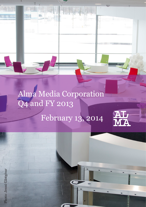# Alma Media Corporation Q4 and FY 2013

mi

## February 13, 2014

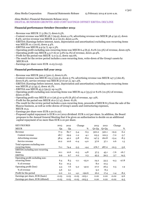#### Alma Media's Financial Statements Release 2013: DIGITAL BUSINESS GROWTH AND COST SAVINGS OFFSET EBITDA DECLINE

## **Financial performance October-December 2013:**

- Revenue was MEUR 77.3 (82.7), down 6.5%.
- Content revenue was MEUR 28.7 (29.9), down 4.1%; advertising revenue was MEUR 38.4 (42.2), down 8.9%; service revenue was MEUR 10.2 (10.6), down 4.0%.
- EBITDA (Earnings before interest, taxes, depreciation and amortisation) excluding non-recurring items was MEUR 10.1 (10.6), down 4.4%.
- EBITDA was MEUR 9.9 (9.7), up 2.3%.
- Operating profit excluding non-recurring items was MEUR 6.4 (8.5), 8.2% (10.3%) of revenue, down 25%.
- Operating profit was MEUR 4.3 (7.6) or  $5.6\%$  (9.1%) of revenue, down 42.9%.
- Profit for the period was MEUR -2.0 (2.1), down 192.6%.
- The result for the review period includes a non-recurring item, write-down of the Group's assets by MEUR 6.8.
- Earnings per share were EUR -0.03 (0.03).

## **Financial performance full year 2013:**

- Revenue was MEUR 300.2 (320.1), down 6.2%.
- Content revenue was MEUR 115.3 (122.3), down 5.7%; advertising revenue was MEUR 147.3 (160.8), down 8.3%; service revenue was MEUR 37.6 (37.1), up 1.5%.
- EBITDA (Earnings before interest, taxes, depreciation and amortisation) excluding non-recurring items was MEUR 37.5 (45.1), down 16.7%.
- EBITDA was MEUR 45.3 (39.5), up 14.5%.
- Operating profit excluding non-recurring items was MEUR 24.2 (33.5) or 8.0% (10.5%) of revenue, down 27.8%.
- Operating profit was MEUR 27.0 (26.5) or 9.0% (8.3%) of revenue, up 1.9%.
- Profit for the period was MEUR 16.0 (17.4), down -8.2%.
- The result for the review period includes a non-recurring item, proceeds of MEUR 8.3 from the sale of the Mascus business, as well as write-downs of Group's assets and restructuring expenses, MEUR 10,3.
- Earnings per share were EUR 0.20 (0.22).
- Proposed capital repayment is EUR 0.10 (2012 dividend: EUR 0.10) per share. In addition, the Board proposes to the Annual General Meeting that it be given an authorisation to decide on an additional capital repayment of no more than EUR 0.10 per share.

| <b>KEY FIGURES</b>                    | 2013    | 2012 |         | Change   | 2013    | 2012    | Change  |         |
|---------------------------------------|---------|------|---------|----------|---------|---------|---------|---------|
| <b>MEUR</b>                           | Q4      | Q4   |         | %        | $Q1-Q4$ | $Q1-Q4$ |         | %       |
| Revenue                               | 77.3    | 82.7 | $-5.4$  | $-6.5$   | 300.2   | 320.1   | $-19.9$ | $-6.2$  |
| Content revenue                       | 28.7    | 29.9 | $-1.2$  | $-4.1$   | 115.3   | 122.3   | $-7.0$  | $-5.7$  |
| Advertising revenue                   | 38.4    | 42.2 | $-3.8$  | $-8.9$   | 147.3   | 160.8   | $-13.4$ | $-8.3$  |
| Service revenue                       | 10.2    | 10.6 | $-0.4$  | $-4.0$   | 37.6    | 37.1    | 0.6     | 1.5     |
| Total expenses excluding non-         |         |      |         |          |         |         |         |         |
| recurring items                       | 71.1    | 74.4 | $-3.3$  | $-4.4$   | 276.7   | 287.0   | $-10.3$ | $-3.6$  |
| <b>EBITDA</b> excluding non-recurring |         |      |         |          |         |         |         |         |
| items                                 | 10.1    | 10.6 | $-0.5$  | $-4.8$   | 37.5    | 45.1    | $-7.6$  | $-16.7$ |
| <b>EBITDA</b>                         | 9.9     | 9.7  | 0.2     | 2.3      | 45.3    | 39.5    | 5.7     | 14.5    |
| Operating profit excluding non-       |         |      |         |          |         |         |         |         |
| recurring items                       | 6.4     | 8.5  | $-2.1$  | $-25.0$  | 24.2    | 33.5    | $-9.3$  | $-27.8$ |
| % of revenue                          | 8.2     | 10.3 |         |          | 8.0     | 10.5    |         |         |
| Operating profit (loss)               | 4.3     | 7.6  | $-3.2$  | $-42.9$  | 27.0    | 26.5    | 0.5     | 1.9     |
| % of revenue                          | 5.6     | 9.1  |         |          | 9.0     | 8.3     |         |         |
| Profit for the period                 | $-2.0$  | 2.1  | $-4.1$  | $-192.6$ | 16.0    | 17.4    | $-1.4$  | $-8.2$  |
| Earnings per share, EUR (basic)       | $-0.03$ | 0.03 | $-0.05$ | $-203.1$ | 0.20    | 0.22    | $-0.02$ | $-9.6$  |
| Earnings per share, EUR (diluted)     | $-0.03$ | 0.03 | $-0.05$ | $-203.3$ | 0.20    | 0.22    | $-0.02$ | $-9.5$  |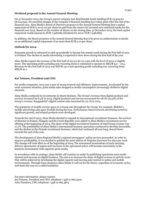## **Dividend proposal to the Annual General Meeting:**

On 31 December 2013, the Group's parent company had distributable funds totalling EUR 23,905,611 (8,014,054). No essential changes in the company's financial standing have taken place after the end of the financial year. Alma Media's Board of Directors proposes to the Annual General Meeting that a capital repayment of EUR 0.10 (0.10) per share be paid from the reserve for invested non-restricted equity for the financial year 2013. Based on the number of shares on the closing date, 31 December 2013, the total capital repayment would amount to EUR 7,548,685 (dividend for 2012: EUR 7,548,685).

In addition, the Board proposes to the Annual General Meeting that it be given an authorisation to decide on an additional capital repayment of no more than EUR 0.10 per share.

## **Outlook for 2014:**

Economic growth is estimated to pick up gradually in Europe but remain weak during the first half of 2014 in Finland. The decline in media advertising is expected to slow down during the first half of the year.

Alma Media expects the revenue of the first half of 2014 to be on a par with the level of 2013 or slightly lower. The operating profit excluding non-recurring items is estimated to amount to MEUR  $9.0 - 10.5$ . Revenue for the first half of 2013 was MEUR 151.2 and operating profit excluding non-recurring items MEUR 10.1.

## **Kai Telanne, President and CEO:**

For media companies, 2013 was a year of strong renewal and efficiency improvements. Accelerated by the weak economic situation, print media sales dropped as media consumption increasingly shifted to digital channels.

Alma Media continued its investments in future business. The Group's revenue from digital products and services increased by 8.4% in 2013. Digital products and services accounted for 28.1% (24.3%) of the Group's revenue. Kauppalehti's digital content sales increased by 22.1% in 2013.

The popularity of mobile services grew at a strong rate throughout the Group. For example, Iltalehti's mobile advertising sales grew fivefold during the year. Performance-based network advertising turned to significant growth, and related products were developed.

Towards the end of 2013, Alma Media decided to expand its international recruitment business: the services of Monster in Poland, Hungary and the Czech Republic were added to Alma Media's recruitment service offering at the beginning of 2014. The share of the digital recruitment business of total Group revenue was 10.7%. The profitability of Alma Media's international business operations continued to develop favourably, and the decline in the Finnish recruitment business, which had continued all year long, slowed down towards the end of the year.

The development of Alma Regional Media's regional newspapers' online services proceeded. In order to improve profitability, it was decided to publish the print edition of *Pohjolan Sanomat* five days per week. The change will took effect as of the beginning of 2014. The announced terminations of early morning delivery agreements of papers and increases in the agreement prices will increase uncertainty in the business environment with regard to print media.

In accordance with its strategy, Alma Media will continue to make its publishing operations more multichannel and increase its digital business. The aim is to increase the share of digital revenue to 50% by 2020. This will be achieved by developing the digital capacity and moving paid content to online and mobile environments. Through these measures Alma Media is well set for the future, regardless of economic cycles, and starts the year on a solid foundation.

For more information, please contact: Kai Telanne, President and CEO, telephone +358 10 665 3500 Juha Nuutinen, CFO, telephone +358 10 665 3873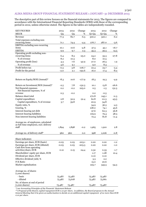3 (30)

The descriptive part of this review focuses on the financial statements for 2013. The figures are compared in accordance with the International Financial Reporting Standards (IFRS) with those of the corresponding period in 2012, unless otherwise stated. The figures in the tables are independently rounded.

| <b>KEY FIGURES</b>                                 | 2013           | 2012           | Change   | 2013        | 2012         | Change  |
|----------------------------------------------------|----------------|----------------|----------|-------------|--------------|---------|
| <b>MEUR</b>                                        | Q <sub>4</sub> | Q <sub>4</sub> | %        | $Q1-Q4$     | $Q1-Q4$      | %       |
| Revenue                                            | 77.3           | 82.7           | $-6.5$   | 300.2       | 320.1        | $-6.2$  |
| Total expenses excluding non-                      |                |                |          |             |              |         |
| recurring items                                    | 71.1           | 74.4           | $-4.4$   | 276.7       | 287.0        | $-3.6$  |
| <b>EBITDA</b> excluding non-recurring              |                |                |          |             |              |         |
| items                                              | 10.1           | 10.6           | $-4.8$   | 37.5        | 45.1         | $-16.7$ |
| <b>EBITDA</b>                                      | 9.9            | 9.7            | 2.3      | 45.3        | 39.5         | 14.5    |
| Operating profit excluding non-<br>recurring items | 6.4            | 8.5            | $-25.0$  |             |              | $-27.8$ |
| % of revenue                                       | 8.2            | 10.3           |          | 24.2<br>8.0 | 33.5<br>10.5 |         |
| Operating profit (loss)                            |                |                |          |             |              |         |
| % of revenue                                       | 4.3            | 7.6            | $-42.9$  | 27.0        | 26.5         | 1.9     |
| Profit before tax                                  | 5.6            | 9.1            |          | 9.0         | 8.3          |         |
|                                                    | $-0.3$         | 3.8            | $-106.7$ | 22.4        | 23.7         | $-5.4$  |
| Profit for the period                              | $-2.0$         | 2.1            | $-192.6$ | 16.0        | 17.4         | $-8.2$  |
|                                                    |                |                |          |             |              |         |
| Return on Equity/ROE (Annual)*                     |                |                |          |             |              |         |
|                                                    | $-8.3$         | 10.6           | $-177.9$ | 18.3        | 19.3         | $-4.9$  |
| Return on Investment/ROI (Annual)*                 | $-2.5$         | 7.8            | $-132.3$ | 10.1        | 13.8         | $-26.6$ |
| Net financial expenses                             | 0.2            | $-0.2$         | 225.0    | 0.5         | $-1.5$       | 131.3   |
| Net financial expenses, % of                       |                |                |          |             |              |         |
| revenue                                            | 0.3            | $-0.2$         |          | 0.2         | $-0.5$       |         |
| Balance sheet total                                |                |                |          | 272.8       | 245.1        | 11.3    |
| Capital expenditure                                | 2.8            | 32.9           | $-91.4$  | 62.8        | 111.3        | $-43.5$ |
| Capital expenditure, % of revenue                  | 3.7            | 39.8           |          | 20.9        | 34.8         |         |
| Equity ratio, %                                    |                |                |          | 34.9        | 36.5         | $-4.3$  |
| Gearing, %                                         |                |                |          | 108.0       | 74.1         | 45.6    |
| Interest-bearing net debt                          |                |                |          | 97.6        | 62.3         | 56.8    |
| Interest-bearing liabilities                       |                |                |          | 109.9       | 79.4         | 38.5    |
| Non-interest-bearing liabilities                   |                |                |          | 72.4        | 81.8         | $-11.4$ |
|                                                    |                |                |          |             |              |         |
| Average no. of employees, calculated               |                |                |          |             |              |         |
| as full-time employees, excl. delivery             |                |                |          |             |              |         |
| staff                                              | 1,894          | 1,898          | $-0.2$   | 1,965       | 1,910        | 2.8     |
|                                                    |                |                |          |             |              |         |
| Average no. of delivery staff*                     | 960            | 960            | 0.0      | 998         | 1,006        | $-0.8$  |
|                                                    |                |                |          |             |              |         |
| Share indicators                                   |                |                |          |             |              |         |
| Earnings per share, EUR (basic)                    | $-0.03$        | 0.03           | $-203.1$ | 0.20        | 0.22         | $-1.2$  |
| Earnings per share, EUR (diluted)                  | $-0.03$        | 0.03           | $-203.3$ | 0.20        | 0.22         | $-1.0$  |
| Cash flow from operating<br>activities/share, EUR  |                |                |          |             |              |         |
|                                                    | 0.12           | 0.15           | $-24.4$  | 0.32        | 0.33         | $-1.7$  |
| Shareholders' equity per share, EUR                |                |                |          | 1.17        | 1.08         | 10.4    |
| Dividend per share, EUR                            |                |                |          | 0.10        | 0.10         |         |
| Effective dividend yield, %                        |                |                |          | 3.3         | $2.2\,$      |         |
| P/E Ratio                                          |                |                |          | 15.0        | 20.6         |         |
| Market capitalisation                              |                |                |          | 225.7       | 343.5        | $-34.3$ |
|                                                    |                |                |          |             |              |         |
| Average no. of shares<br>$(1,000 \text{ shares})$  |                |                |          |             |              |         |
| - basic                                            | 75,487         | 75,487         |          | 75,487      | 75,487       |         |
| - diluted                                          | 75,487         | 75,618         |          | 75,487      | 75,661       |         |
| No. of shares at end of period                     |                |                |          |             |              |         |
| $(1,000 \text{ shares})$                           | 75,487         | 75,487         |          | 75,487      | 75,487       |         |

*\*) see Accounting Principles of the Financial Statement Release*

*\*\*) Proposal of the Board, capital repayment EUR 0.10 per share, in addition, the Board proposes to the Annual General Meeting that it be given an authorisation to decide on an additional capital repayment of no more than EUR 0.10 per share.*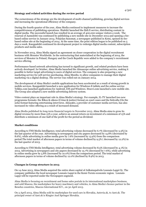## **Strategy and related activities during the review period**

The cornerstones of the strategy are the development of multi-channel publishing, growing digital services and increasing the operational efficiency of the company.

During the fourth quarter of the year, Alma Media continued to implement measures to increase the competitiveness of publishing operations. Iltalehti launched the fiidi.fi service, distributing content in digital media. The successful launch has resulted in an average of 400,000 unique visitors a week. The renewal of Aamulehti was continued by publishing a new mobile site in December 2013 and opening a feebased online service in January 2014. Pohjolan Sanomat, a newspaper published in Kemi, opened its feebased online site at the beginning of 2014. At the same time, the print edition began to be published on 5 days a week. Kauppalehti continued its development project to redesign digital media content, subscription products and media sales.

In November 2013, Alma Media signed an agreement on closer cooperation in the digital recruitment business with Monster Worldwide. In the restructuring that materialised at the beginning of 2014, the services of Monster in Poland, Hungary and the Czech Republic were added to the company's recruitment service offering.

Performance-based network advertising has turned to significant growth, and related products have been actively developed. In October, Alma Media launched the Almascope online advertising service, making it possible to better target advertising to users of digital services. The company is also preparing a new marketing service for self-service purchasing, Alma Meedio, to allow companies to manage their digital marketing via a digital desktop. The service was rolled out on January 2014.

The development of Alma Media's mobile applications has been accelerated as a result of strong growth in mobile services. Kauppalehti launched a new application for Windows 8 tablets and the online service Telkku.com launched applications for Android, iOS and Windows. Etuovi.com launched a new mobile site. The Group also adopted a new mobile advertising delivery system.

Video content plays an important role in Alma Media's strategy. For example, IL-TV launched two new programme formats: the Rikos & oikeus (Crime & justice) format on court cases and the Sohvalla (On the sofa) format featuring entertaining interviews. Alma360, a provider of customer media services, has also increased its video offering as a result of increased demand.

Alma Media published its long-term financial targets in November 2013. Alma Media aims to grow its digital revenue by more than 15% a year, achieve an annual return on investment of a minimum of 15% and distribute a minimum of one-half of the profit for the period as dividend.

## **Market conditions**

According to TNS Media Intelligence, total advertising volume decreased by 6.7% (decreased by 5.3%) in the last quarter of the year. Advertising in newspapers and city papers decreased by 14.8% (decreased by 8.6%), while advertising in online media grew by 7.6% (increased by 13.9%) from the comparison period.The total market of afternoon papers in terms of volume declined by 9.5% ( decreased by 12.2%) in the last quarter of 2013.

According to TNS Media Intelligence, total advertising volume decreased by 8.5% (decreased by 4.1%) in 2013. Advertising in newspapers and city papers decreased by 15.7% (decreased by 7.6%), while advertising in online media grew by 5.8% (increased by 10.0%) from the comparison period. The total market of afternoon papers in terms of volume declined by 12.0% (declined by 8.9%) in 2013.

## **Changes in Group structure in 2013**

On 14 June 2013, Alma Media acquired the entire share capital of Julkaisupalvelu Lounais-Lappi Oy. The company publishes the local newspaper Lounais-Lappi in the Kemi-Tornio economic region. Lounais-Lappi will be reported under the Newspapers segment.

Alma Media is focusing on recruitment and home sales portals in its international marketplace business, and sold Mascus, the marketplace for heavy machinery and vehicles, to Alma Media's licence partner in the Benelux countries, Mascus International B.V., on 30 April 2013.

On 3 April 2013, Alma Media sold its marketplace for used cars in Slovakia, Autovia.sk, to Azet.sk. The principal owner of Azet.sk is Ringier Axel Springer Slovakia.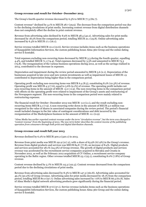## **Group revenue and result for October–December 2013**

The Group's fourth-quarter revenue decreased by 6.5% to MEUR 77.3 (82.7).

Content revenue\* declined by 4.1% to MEUR 28.7 (29.9). The decrease from the comparison period was due to the declining circulations of print media. Increasing content revenue from digital distribution channels does not completely offset the decline in print content revenue.

Revenue from advertising sales declined by 8.9% to MEUR 38.4 (42.2). Advertising sales for print media decreased by 18.2% from the comparison period, totalling MEUR 21.1 (25.8). Online advertising sales increased by 6.3% to MEUR 17.1 (16.1).

Service revenue totalled MEUR 10.2 (10.6). Service revenue includes items such as the business operations of Kauppalehti Information Services, the custom publishing house Alma 360 Group and the online dating service E-kontakti.

Total expenses excluding non-recurring items decreased by MEUR 3.3 during the fourth quarter, equalling 4.4%, and totalled MEUR 71.1 (74.4). Total expenses decreased by 3.3% and amounted to MEUR 73.3 (75.8). The reorganisation of the various business operations during 2012, as well as the savings realised in 2013, contributed to the decrease in expenses.

Depreciation and impairment during the review period amounted to MEUR 5.6 (2.1). Depreciation of the businesses acquired in late 2012 and new system investments as well as impairment losses of MEUR 1.9 contributed to depreciation being higher than in the comparison period.

Operating profit excluding non-recurring items was MEUR 6.4 (8.5), constituting 8.2% (10.3%) of revenue. Operating profit was MEUR 4.3 (7.6), equal to 5.6% (9.1%) of revenue. The operating profit includes net non-recurring items in the amount of MEUR -2.0 (-0.9). The non-recurring items in the comparison period with effects on the operating profit were related to impairment of the Group's assets and restructuring of the Newspapers segment. The non-recurring items in the comparison period were mainly related to restructuring expenses.

The financial result for October–December 2013 was MEUR -2.0 (2.1), and the result excluding nonrecurring items MEUR 5.1 (7.9). A non-recurring write-down in the amount of MEUR 5.0 million was recognised in the value of shares in associated companies during the review period. The period's financial result included changes in the fair value of contingent considerations and debt incurred by the reorganisation of the Marketplaces business in the amount of MEUR -0.1 (0.9).

*\*Alma Media has earlier reported content revenue under the term "circulation revenue", but the term was changed to "content revenue" from the beginning of 2013. The new term better describes the content income of the publishing operation from consumers through both print and digital distribution channels.*

## **Group revenue and result full year 2013**

Revenue declined by 6.2% to MEUR 300.2 (320.1) in 2013.

Revenue from print media was MEUR 191.9 (217.2), with a share of 63.9% (67.9%) in the Group's revenue. Revenue from digital products and services was MEUR 84.8 (77.8), an increase of 8.4%. Digital products and services accounted for 28.1% (24.3%) of Group revenue. The growth of digital products and services revenue was accelerated by the recruitment service companies acquired in Slovakia and Croatia in November 2012, as well as the February 2012 acquisition of CV Online, a recruitment service company operating in the Baltic region. Other revenue totalled MEUR 23.1 (25.1), constituting 8.0% (7.8%) of Group revenue.

Content revenue declined by 5.7% to MEUR 115.3 (122.3). Content revenue decreased from the comparison period due to the declining circulations of print media.

Revenue from advertising sales decreased by 8.3% to MEUR 147.3 (160.8). Advertising sales accounted for 49.1% (50.2%) of Group revenue. Advertising sales for print media decreased by 18.1% from the comparison period, totalling MEUR 80.0 (97.7). Online advertising sales increased by 7.6% to MEUR 66.5 (61.8). Sales of Alma Media's digital network advertising products grew significantly during the financial period.

Service revenue totalled MEUR 37.6 (37.1). Service revenue includes items such as the business operations of Kauppalehti Information Services, the custom publishing house Alma 360 Group and the online dating service E-kontakti.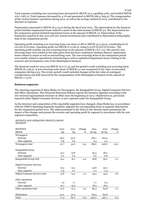Total expenses excluding non-recurring items decreased by MEUR 10.3, equalling 3.6%, and totalled MEUR 276.7 (287.0). Total expenses decreased by 4.1% and amounted to MEUR 282.4 (294.5). The reorganisation of the various business operations during 2012, as well as the savings realised in 2013, contributed to the decrease in expenses.

Depreciation amounted to MEUR 18.3 (13.0) during the fiscal year 2013. The depreciation for the financial period includes impairment losses related to assets in the total amount of MEUR 4.9. The depreciation for the comparison period included impairment losses in the amount of MEUR 1.6. Depreciation of the businesses acquired in late 2012 and new system investments also contributed to depreciation being higher than in the comparison period.

Operating profit excluding non-recurring items was down 27.8% to MEUR 24.2 (33.5), constituting 8.0% (10.5%) of revenue. Operating profit was MEUR 27.0 (26.5), rising to 9.0% (8.3%) of revenue. The operating profit includes net non-recurring items in the amount of MEUR 2.8 (-7.0). The period's nonrecurring items were related to the sales gains from the heavy machinery business Mascus, impairment losses related to assets as well as restructuring costs. The non-recurring items in the comparison period were mainly related to operational restructuring as well as capitalised impairment losses relating to the research and development costs of the Marketplaces business.

The financial result for 2013 was MEUR 16.0 (17.4), and the period's result excluding non-recurring items MEUR 18.1 (29.3). A non-recurring write-down of MEUR 5.0 was recognised in the value of associated companies during 2013. The review period's result included changes in the fair value of contingent considerations and debt incurred by the reorganisation of the Marketplaces business in the amount of MEUR 1.1 (3.6).

#### **Business segments**

The reporting segments of Alma Media are Newspapers, the Kauppalehti Group, Digital Consumer Services and Other Operations. This Financial Statement Release reports the business segments according to the new internal organisational structure in effect since the beginning of 2013. Objektvision.se, previously reported under Digital Consumer Services, is now reported under the Kauppalehti Group.

As the structure and composition of the reportable segments have changed, Alma Media has, in accordance with the IFRS 8 Operating Segments standard, adjusted the corresponding items in segment information for the comparison period 2012. The tables presented in the Notes to the interim report summarise the impact of the changes and present the revenue and operating profit by segment in accordance with the new segment composition.

## REVENUE AND OPERATING PROFIT/LOSS BY SEGMENT

| <b>REVENUE</b>                  | 2013           | 2012           | Change | 2013    | 2012             | Change  |
|---------------------------------|----------------|----------------|--------|---------|------------------|---------|
| <b>MEUR</b>                     | Q <sub>4</sub> | Q <sub>4</sub> | %      | $Q1-Q4$ | $Q1-Q4$          | %       |
| Newspapers                      |                |                |        |         |                  |         |
| External                        | 46.9           | 52.0           |        | 183.1   | 203.4            |         |
| Inter-segment                   | 0.8            | 0.6            |        | 2.5     | $3.2\phantom{0}$ |         |
| Newspapers total                | 47.7           | 52.6           | $-9.3$ | 185.6   | 206.6            | $-10.2$ |
| Kauppalehti Group               |                |                |        |         |                  |         |
| External                        | 15.2           | 15.8           |        | 56.3    | 58.2             |         |
| Inter-segment                   | 0.2            | 0.2            |        | 0.6     | 0.8              |         |
| Kauppalehti Group total         | 15.4           | 16.1           | $-4.2$ | 56.8    | 59.0             | $-3.7$  |
| Digital Consumer Services       |                |                |        |         |                  |         |
| External                        | 13.3           | 13.2           |        | 53.8    | 52.2             |         |
| Inter-segment                   | 0.5            | 0.7            |        | 2.1     | 2.3              |         |
| Digital Consumer Services total | 13.8           | 14.0           | $-1.2$ | 55.9    | 54.5             | 2.6     |
| Other operations                |                |                |        |         |                  |         |
| External                        | 1.9            | 1.7            |        | 7.1     | 6.3              |         |
| Inter-segment                   | 19.7           | 19.9           |        | 78.4    | 78.5             |         |
| Other operations total          | 21.6           | 21.5           | 0.2    | 85.4    | 84.8             | 0.7     |
| Elimination                     | $-21.2$        | $-21.4$        |        | $-83.5$ | $-84.8$          |         |
| Total                           | 77.3           | 82.7           | $-6.5$ | 300.2   | 320.1            | $-6.2$  |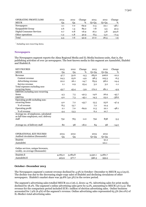| OPERATING PROFIT/LOSS     | 2013   | 2012   | Change  | 2013    | 2012   | Change  |
|---------------------------|--------|--------|---------|---------|--------|---------|
| <b>MEUR</b>               | Q4     | Q4     | %       | $Q1-Q4$ | Q1-Q4  | %       |
| Newspapers                | 2.1    | 7.0    | $-69.9$ | 11.5    | 22.1   | $-48.1$ |
| Kauppalehti Group         | 2.6    | 1.4    | 89.2    | 7.8     | 5.5    | 42.3    |
| Digital Consumer Services | 0.7    | 0.8    | $-16.9$ | 16.2    | 3.8    | 323.6   |
| Other operations          | $-1.2$ | $-1.8$ | 30.9    | $-8.5$  | $-5.0$ | $-71.4$ |
| Total                     | 4.3    | 7.6    | $-42.9$ | 27.0    | 26.5   | 1.9     |

*\* Including non-recurring items.*

#### **Newspapers**

The Newspapers segment reports the Alma Regional Media and IL-Media business units, that is, the publishing activities of over 30 newspapers. The best-known media in this segment are Aamulehti, Iltalehti and Iltalehti.fi.

| <b>KEY FIGURES</b>                     | 2013           | 2012           | Change  | 2013    | 2012    | Change  |
|----------------------------------------|----------------|----------------|---------|---------|---------|---------|
| <b>MEUR</b>                            | Q <sub>4</sub> | Q <sub>4</sub> | %       | $Q1-Q4$ | $Q1-Q4$ | %       |
| Revenue                                | 47.7           | 52.6           | $-9.3$  | 185.6   | 206.6   | $-10.2$ |
| Content revenue                        | 24.3           | 25.6           | $-4.9$  | 98.5    | 105.3   | $-6.5$  |
| Advertising revenue                    | 22.2           | 26.1           | $-14.7$ | 83.9    | 98.0    | $-14.4$ |
| Service revenue                        | 1.1            | 0.9            | 25.4    | 3.2     | 3.2     | $-1.1$  |
| Total expenses excluding non-          |                |                |         |         |         |         |
| recurring items                        | 43.7           | 45.4           | $-3.9$  | 172.2   | 181.1   | -4.9    |
| EBITDA excluding non-recurring         |                |                |         |         |         |         |
| items                                  | 4.3            | 7.5            | $-42.3$ | 14.6    | 26.9    | $-45.7$ |
| <b>EBITDA</b>                          | 4.0            | 7.3            | $-45.1$ | 14.3    | 23.2    | $-38.6$ |
| Operating profit excluding non-        |                |                |         |         |         |         |
| recurring items                        | 4.0            | 7.2            | $-43.7$ | 13.5    | 25.6    | $-47.4$ |
| % of revenue                           | 8.5            | 13.7           |         | 7.2     | 12.4    |         |
| Operating profit                       | 2.1            | 7.0            | $-69.9$ | 11.5    | 22.1    | $-48.1$ |
| % of revenue                           | 4.4            | 13.3           |         | 6.2     | 10.7    |         |
| Average no. of employees, calculated   |                |                |         |         |         |         |
| as full-time employees, excl. delivery |                |                |         |         |         |         |
| staff                                  | 752            | 765            | $-2.0$  | 792     | 838     | $-5.5$  |
|                                        |                |                |         |         |         |         |
| Average no. of delivery staff          | 80             | 98             | $-18.0$ | 84      | 98      | $-14.0$ |
|                                        |                |                |         |         |         |         |
|                                        |                |                |         |         |         |         |
| <b>OPERATIONAL KEY FIGURES</b>         | 2013           | 2012           |         | 2013    | 2012    |         |
| Audited circulation (thousands)        | Q <sub>4</sub> | Q <sub>4</sub> |         | $Q1-Q4$ | $Q1-Q4$ |         |
| Iltalehti                              |                |                |         |         | 91.2    |         |
| Aamulehti                              |                |                |         |         | 121.1   |         |
|                                        |                |                |         |         |         |         |
| Online services, unique browsers,      |                |                |         |         |         |         |
| weekly, on average (thousands)         |                |                |         |         |         |         |
|                                        |                |                |         |         |         |         |
| Iltalehti.fi                           | 4,065.0        | 3,083.8        |         | 3,530.1 | 3,280.7 |         |
| Aamulehti.fi                           | 423.9          | 377.7          |         | 396.3   | 355.5   |         |

#### **October–December 2013**

The Newspapers segment's content revenue declined by 4.9% in October–December to MEUR 24.3 (25.6). The decline was due to the decreasing single-copy sales of Iltalehti and declining circulaions of other newspapers. Iltalehti's market share was 39.8% (40.3%) in the review period.

The segment's advertising sales totalled MEUR 22.2 (26.1), down 14.7%. Advertising sales for print media declined by 18.2%. The segment's online advertising sales grew by 9.2%, amounting to MEUR 3.6 (3.3). The revenue for the comparison period included EUR 1 million of election advertising sales. Online business accounted for 7.9% (6.4%) of the segment's revenue. Online advertising sales represented 65.3% (60.0%) of IL-Media's total advertising sales.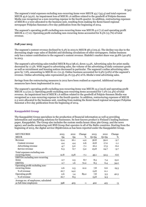The segment's total expenses excluding non-recurring items were MEUR 43.7 (45.4) and total expenses MEUR 45.6 (45.6). An impairment loss of MEUR 1.6 million related to the goodwill of Pohjois-Suomen Media was recognised as a non-recurring expense in the fourth quarter. In addition, restructuring expenses of MEUR 0.3 were allocated to the business unit, resulting from making the Kemi-based regional newspaper Pohjolan Sanomat a five-day publication from the beginning of 2014.

The segment's operating profit excluding non-recurring items was MEUR 4.0 (7.2) and operating profit MEUR 2.1 (7.0). Operating profit excluding non-recurring items accounted for 8.5% (13.7%) of total revenue.

## **Full year 2013**

The segment's content revenue declined by 6.5% in 2013 to MEUR 98.5 (105.3). The decline was due to the decreasing single-copy sales of Iltalehti and declining circulations of other newspapers. Online business only has a minor contribution to the segment's content revenue. Iltalehti's market share was 39.8% (40.9%) in 2013.

The segment's advertising sales totalled MEUR 83.9 (98.0), down 14.4%. Advertising sales for print media decreased by 17.3%. With regard to advertising sales, the volume of the advertising of daily consumer goods as well as recruitment and housing notices decreased in particular. The segment's online advertising sales grew by 7.6%, amounting to MEUR 12.1 (11.3). Online business accounted for 6.9% (5.6%) of the segment's revenue. Online advertising sales represented 59.1% (53.4%) of IL-Media's total advertising sales.

Savings from the restructuring measures in 2012 have been realised as expected. Additional savings measures have been implemented in 2013.

The segment's operating profit excluding non-recurring items was MEUR 13.5 (25.6) and operating profit MEUR 11.5 (22.1). Operating profit excluding non-recurring items accounted for 7.2% (12.4%) of total revenue. An impairment loss of MEUR 1.6 million related to the goodwill of Pohjois-Suomen Media was recognised as a non-recurring expense in the fourth quarter. In addition, restructuring expenses of MEUR 0.3 were allocated to the business unit, resulting from making the Kemi-based regional newspaper Pohjolan Sanomat a five-day publication from the beginning of 2014.

## **Kauppalehti Group**

The Kauppalehti Group specialises in the production of financial information as well as providing information and marketing solutions for businesses. Its best-known product is Finland's leading business paper, Kauppalehti. The Group also includes the custom media house Alma 360 Group, and the news agency and media monitoring unit BNS Group that operates in all of the Baltic countries. Starting from the beginning of 2013, the digital service Objektvision.se has been reported under the Kauppalehti Group.

| <b>KEY FIGURES</b>                    | 2013 | 2012 | Change | 2013    | 2012    | Change |
|---------------------------------------|------|------|--------|---------|---------|--------|
| <b>MEUR</b>                           | Q4   | Q4   | %      | $Q1-Q4$ | $Q1-Q4$ | %      |
| Revenue                               | 15.4 | 16.1 | $-4.2$ | 56.8    | 59.0    | $-3.7$ |
| Content revenue                       | 4.4  | 4.4  | 0.6    | 16.8    | 17.0    | $-1.1$ |
| Advertising revenue                   | 4.7  | 5.0  | $-7.1$ | 16.2    | 17.3    | $-6.2$ |
| Service revenue                       | 6.3  | 6.7  | $-5.2$ | 23.8    | 24.7    | $-3.7$ |
| Total expenses excluding non-         |      |      |        |         |         |        |
| recurring items                       | 12.8 | 13.8 | $-7.1$ | 49.1    | 52.5    | $-6.6$ |
| <b>EBITDA</b> excluding non-recurring |      |      |        |         |         |        |
| items                                 | 2.7  | 2.5  | 8.7    | 8.5     | 7.4     | 15.0   |
| <b>EBITDA</b>                         | 2.7  | 1.6  | 72.2   | 8.5     | 6.4     | 34.2   |
| Operating profit excluding non-       |      |      |        |         |         |        |
| recurring items                       | 2.6  | 2.3  | 12.2   | 7.8     | 6.6     | 19.3   |
| % of revenue                          | 16.7 | 14.2 |        | 13.8    | 11.1    |        |
| Operating profit                      | 2.6  | 1.4  | 89.2   | 7.8     | 5.5     | 42.3   |
| % of revenue                          | 16.7 | 8.5  |        | 13.8    | 9.3     |        |
| Average no. of employees, calculated  |      |      |        |         |         |        |
| as full-time employees                | 398  | 403  | -1     | 402     | 415     | -3     |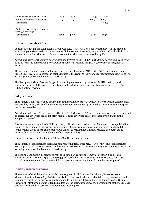| <b>OPERATIONAL KEY FIGURES</b>    | 2013  | 2012  | 2013  | 2012  |
|-----------------------------------|-------|-------|-------|-------|
| Audited circulation (thousands)   | Q4    | '24   | 01-04 | 01-04 |
| Kauppalehti                       |       |       |       | 63.5  |
|                                   |       |       |       |       |
| Online services, unique browsers, |       |       |       |       |
| weekly, on average                |       |       |       |       |
| Kauppalehti.fi                    | 769.8 | 490.9 | 649.8 | 673.0 |

#### **October–December 2013**

Content revenue for the Kauppalehti Group was MEUR 4.4 (4.4), on a par with the level of the previous year. Kauppalehti succeeded in increasing its digital content income by 24.3%, which offset the decline in content income for print media. Content revenue for print media decreased by 3.8%.

Advertising sales for the fourth quarter declined by 7.1% to MEUR 4.7 (5.0). Online advertising sales grew by 6.3% from the comparison period. Online business accounted for 34.0% (29.0%) of the segment's revenue.

The segment's total expenses excluding non-recurring items were MEUR 12.8 (13.8) and total expenses MEUR 12.8 (14.8). The decrease in total expenses is the result of last year's reorganisation measures, as well as savings measures implemented in early 2013.

The Kauppalehti Group's operating profit excluding non-recurring items was MEUR 2.6 (2.3), and operating profit MEUR 2.6 (1.4). Operating profit excluding non-recurring items accounted for 16.7% (14.2%) of total revenue.

## **Full year 2013**

The segment's content revenue declined from the previous year to MEUR 16.8 (17.0). Online content sales increased by 22.1%, which offset the decline in content revenue for print media. Content revenue for print media decreased by 5.1%.

Advertising sales for 2013 declined to MEUR 16.2 (17.3), down 6.2%. Advertising sales declined as the result of decreasing advertising sales for print media. Online advertising sales increased by 10.9% from the comparison period.

Service revenue decreased to MEUR 23.8 (24.7). The decline was due to the Alma 360 custom publication business where some of the printing procurement of non-profit organisations has been transferred directly to the organisations due to changes in value added tax regulations. This has resulted in a decrease in revenue, but the change has not had an effect on profitability.

Online business accounted for 33.4% (29.0%) of the segment's revenue.

The segment's total expenses excluding non-recurring items were MEUR 49.1 (52.5) and total expenses MEUR 49.1 (53.6). The decrease in total expenses is the result of last year's reorganisation measures, as well as savings measures implemented in early 2013.

The Kauppalehti Group's operating profit excluding non-recurring items was MEUR 7.8 (6.6), and operating profit MEUR 7.8 (5.5). Operating profit excluding non-recurring items accounted for 13.8% (11.1%) of total revenue. The segment did not report non-recurring items during the review period.

## **Digital Consumer Services**

The services of the Digital Consumer Services segment in Finland are Etuovi.com, Vuokraovi.com, Monster.fi, Autotalli.com, MyyJaOsta.com, Telkku.com, Kotikokki.net, E-kontakti.fi, Nytmatkaan.fi and Suomenyritykset.fi. The services operating outside Finland are Jobs.cz, Prace.cz, topjobs.sk, CV Online, Profesia.sk, MojPosao.net and City24. In addition, the segment includes the development of the technology platform for the online services of regional and local papers.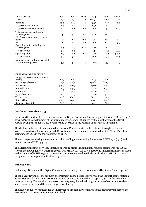| <b>KEY FIGURES</b>                   | 2013 | 2012 | Change  | 2013    | 2012    | Change  |
|--------------------------------------|------|------|---------|---------|---------|---------|
| <b>MEUR</b>                          | Q4   | Q4   | %       | $Q1-Q4$ | $Q1-Q4$ | %       |
| Revenue                              | 13.8 | 14.0 | $-1.2$  | 55.9    | 54.5    | 2.6     |
| Operations in Finland                | 6.5  | 7.2  | $-8.7$  | 25.9    | 29.2    | $-11.5$ |
| Operations outside Finland           | 7.2  | 6.8  | 6.6     | 30.0    | 25.2    | 19.0    |
| Total expenses excluding non-        |      |      |         |         |         |         |
| recurring items                      | 13.1 | 13.0 | 0.4     | 48.2    | 48.3    | $-0.2$  |
| EBITDA excluding non-recurring       |      |      |         |         |         |         |
| items                                | 1.9  | 2.2  | $-12.6$ | 13.1    | 10.9    | 20.3    |
| <b>EBITDA</b>                        | 2.1  | 2.0  | 0.8     | 21.6    | 10.0    | 115.7   |
| Operating profit excluding non-      |      |      |         |         |         |         |
| recurring items                      | 0.8  | 1.0  | $-21.9$ | 7.9     | 6.3     | 24.9    |
| % of revenue                         | 5.4  | 6.8  |         | 14.1    | 11.6    | 22.0    |
| Operating profit                     | 0.7  | 0.8  | $-16.9$ | 16.2    | 3.8     | 323.6   |
| % of revenue                         | 5.0  | 5.9  |         | 29.0    | 7.0     | 312.8   |
| Average no. of employees, calculated |      |      |         |         |         |         |
| as full-time employees               | 495  | 470  | 5       | 497     | 392     | 27      |

#### OPERATIONAL KEY FIGURES

|  | Online services, unique browsers, |
|--|-----------------------------------|
|  |                                   |
|  |                                   |

| weekly,                | 2013  | 2012  | 2013    | 2012    |  |
|------------------------|-------|-------|---------|---------|--|
| on average (thousands) | Q4    | Q4    | $Q1-Q4$ | $Q1-Q4$ |  |
| Etuovi.com             | 429.3 | 410.7 | 459.6   | 414.6   |  |
| Autotalli.com          | 118.3 | 109.9 | 125.0   | 107.2   |  |
| Monster.fi             | 102.8 | 95.3  | 102.6   | 101.2   |  |
| MyviaOsta.com          | 20.6  | 24.7  | 22.6    | 30.2    |  |
| Telkku.com             | 753.8 | 680.2 | 692.3   | 714.2   |  |
| Kotikokki.net          | 396.0 | 305.1 | 328.2   | 213.8   |  |
| Suomenyritykset.fi     | 60.8  | 57.4  | 62.7    | 66.9    |  |

#### **October–December 2013**

In the fourth quarter of 2013, the revenue of the Digital Consumer Services segment was MEUR 13.8 (14.0), down 1.2%. The development of the segment's revenue was influenced by the devaluation of the Czech koruna by slightly under 5% in November and decrease in the revenue of operations in Finland.

The decline in the recruitment-related business in Finland, which had continued throughout the year, slowed down during the review period. Recruitment-related business accounted for 60.0% (47.9%) of the segment's revenue in the fourth quarter of 2013.

The total expenses during the review period, excluding non-recurring items, were MEUR 13.1 (13.0) and total expenses MEUR 13.3 (13.1).

The Digital Consumer Services segment's operating profit excluding non-recurring items was MEUR 0.8 (1.0) in the fourth quarter. Operating profit was MEUR 0.7 (0.8). Non-recurring impairment losses of assets in the amount of MEUR 0.3 and a non-recurring agreement-related indemnification of MEUR 0.2 were recognised in the segment in the fourth quarter.

#### **Full year 2013**

In January–December, the Digital Consumer Services segment's revenue was MEUR 55.9 (54.4), up 2.6%.

The full-year revenue of the segment's recruitment-related business grew with the support of international acquisitions made in 2012. Recruitment-related business accounted for 58.3% (49.8%) of the segment's revenue in 2013. The acquired businesses create synergy benefits through a variety of recruitment-related added-value services and through competence sharing.

The Etuovi.com service succeeded in improving its profitability compared to the previous year despite the slow cycle in the home sales market in Finland.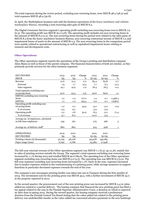The total expenses during the review period, excluding non-recurring items, were MEUR 48.2 (48.3) and total expenses MEUR 48.4 (50.8).

11 (30)

In April, the Marketplaces business unit sold the business operations of the heavy machinery and vehicles marketplace Mascus, recording a non-recurring sales gain of MEUR 8.3.

The Digital Consumer Services segment's operating profit excluding non-recurring items rose to MEUR 7.9 (6.3). The operating profit was MEUR 16.2 (3.8). The operating profit includes net non-recurring items in the amount of MEUR 8.3 (2.5). The non-recurring items during the period were related to the sales gains of MEUR 8.3 from the heavy machinery business Mascus, non-recurring contractual income of MEUR 0.2 and impairment losses of assets in the amount of MEUR 0.3. The non-recurring items in the comparison period were mainly related to operational restructuring as well as capitalised impairment losses relating to research and development costs.

#### **Other Operations**

The Other operations segment reports the operations of the Group's printing and distribution company Alma Manu as well as those of the parent company. The financial characteristics of both are similar, as they primarily provide services for the other business segments.

| <b>KEY FIGURES</b>                    | 2013           | 2012           | Change | 2013    | 2012    | Change  |
|---------------------------------------|----------------|----------------|--------|---------|---------|---------|
| <b>MEUR</b>                           | Q <sub>4</sub> | Q <sub>4</sub> | %      | $Q1-Q4$ | $Q1-Q4$ | %       |
| Revenue                               | 21.6           | 21.5           | 0.2    | 85.4    | 84.8    | 0.7     |
| External                              | 1.9            | 1.7            | 14.3   | 7.1     | 6.3     | 12.3    |
| Inter-segment                         | 19.7           | 19.9           | $-1.0$ | 78.4    | 78.5    | $-0.2$  |
| Total expenses excluding non-         |                |                |        |         |         |         |
| recurring items                       | 22.6           | 23.4           | $-3.6$ | 90.6    | 89.6    | 1.1     |
| <b>EBITDA</b> excluding non-recurring |                |                |        |         |         |         |
| items                                 | 1,2            | $-1.5$         | 177.0  | 1.4     | $-0.1$  | 2,458.3 |
| <b>EBITDA</b>                         | 1.1            | $-1.2$         | 194.3  | 0.9     | $-0.1$  | 1,638.6 |
| Operating profit excluding non-       |                |                |        |         |         |         |
| recurring items                       | $-1.2$         | $-2.1$         | 43.9   | $-5.0$  | $-5.0$  | $-0.9$  |
| % of revenue                          | $-5.5$         | $-9.7$         |        | $-5.9$  | $-5.9$  |         |
| Operating profit                      | $-1.2$         | $-1.8$         | 30.9   | $-8.5$  | $-5.0$  | $-71.4$ |
| % of revenue                          | $-5.7$         | $-8.2$         |        | $-10.0$ | $-5.9$  |         |
| Average no. of employees, calculated  |                |                |        |         |         |         |
| as full-time employees                | 249            | 261            |        | 275     | 266     | 3       |
|                                       |                |                |        |         |         |         |
| Average no. of delivery staff*        | 880            | 862            |        | 914     | 908     | 1       |
|                                       |                |                |        |         |         |         |
| <b>OPERATIONAL</b>                    | 2013           | 2012           |        | 2013    | 2012    |         |
| <b>KEY FIGURES</b>                    | $Q_4$          | $Q_4$          |        | $Q1-Q4$ | $Q1-Q4$ |         |
| Printing volume (in thousands)        | 52,795         | 48,078         |        | 194,978 | 199,085 |         |
| Paper usage (tons)                    | 6,092          | 6,786          |        | 23,489  | 27,938  |         |

The full-year external revenue of the Other operations segment was MEUR 7.1 (6.3), up 12.3%, mainly due to sales of printing services outside the Group. The segment's total expenses excluding non-recurring items increased by 1.1 % during 2013 and totalled MEUR 90.6 (89.6). The operating loss of the Other operations segment excluding non-recurring items was MEUR 5.0 (5.0). The operating loss was MEUR 8.5 (5.0). The full-year expenses excluding non-recurring items increased by 1.1%. Early in the year, expenses increased due to project expenses related to the commissioning of a printing press, while savings measures in support functions in particular decreased expenses towards the end of the year.

The company's new newspaper printing facility was taken into use in Tampere during the first months of 2013. The investment cost for the printing press was MEUR 49.5, with a further investment of MEUR 24.0 in the property reported in 2012.

In the second quarter, the procurement cost of the new printing press was increased by MEUR 3.4 in valueadded tax related to a partial delivery. The leasing company that financed the new printing press has filed a tax appeal related to the case in the Finnish Supreme Administrative Court, a decision on which is expected no later than in spring 2014. During the second quarter, the leasing company received a preliminary decision from the Finnish Central Tax Board stating that the value-added tax related to the printing press delivery was undeductible insofar as the value-added tax concerned advance payments to the now bankrupt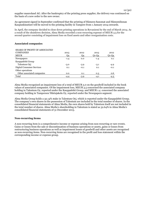supplier manroland AG. After the bankruptcy of the printing press supplier, the delivery was continued on the basis of a new order to the new owner.

An agreement signed in September confirmed that the printing of Hämeen Sanomat and Hämeenlinnan Kaupunkiuutiset will be moved to the printing facility in Tampere from 1 January 2014 onwards.

In April, the company decided to close down printing operations in Rovaniemi by the end of March 2014. As a result of the shutdown decision, Alma Media recorded a non-recurring expense of MEUR 3.5 for the second quarter consisting of impairment loss on fixed assets and other reorganisation costs.

#### **Associated companies**

| <b>SHARE OF PROFIT OF ASSOCIATED</b> |        |        |         |         |
|--------------------------------------|--------|--------|---------|---------|
| <b>COMPANIES</b>                     | 2013   | 2012   | 2013    | 2012    |
| <b>MEUR</b>                          | Q4     | Q4     | $Q1-Q4$ | $Q1-Q4$ |
| <b>Newspapers</b>                    | $-1.4$ | 0.0    | $-1.4$  | 0.1     |
| Kauppalehti Group                    |        |        |         |         |
| Talentum Oyj                         | $-3.0$ | $-3.9$ | $-3.1$  | $-4.9$  |
| <b>Digital Consumer Services</b>     | 0.1    | $-0.1$ | 0.1     | $-0.1$  |
| Other operations                     |        |        |         |         |
| Other associated companies           | 0.0    | 0.1    | 0.3     | 0.6     |
| Total                                | $-4.4$ | $-3.9$ | $-4.1$  | $-4.3$  |

Alma Media recognised an impairment loss of a total of MEUR 5.0 on the goodwill included in the book values of associated companies. Of the impairment loss, MEUR 3.5 concerned the associated company holding in Talentum Oy, reported under the Kauppalehti Group, and MEUR 1.4 concerned the associated company holding in Tampereen Ykkösjakelu Oy, reported under the Newspapers segment.

Alma Media Group holds a 32.14% stake in Talentum Oyj, which is reported under the Kauppalehti Group. The company's own shares in the possession of Talentum are included in the total number of shares. In the consolidated financial statements of Alma Media, the own shares held by Talentum itself are not included in the total number of shares. Alma Media's shareholding in Talentum is stated as 32.64% in Alma Media's consolidated financial statements of 31 December 2013.

#### **Non-recurring items**

A non-recurring item is a comprehensive income or expense arising from non-recurring or rare events. Gains or losses from the sale or discontinuation of business operations or assets, gains or losses from restructuring business operations as well as impairment losses of goodwill and other assets are recognised as non-recurring items. Non-recurring items are recognised in the profit and loss statement within the corresponding income or expense group.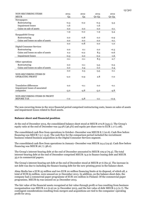| <b>NON-RECURRING ITEMS</b>          | 2013   | 2012   | 2013    | 2012    |
|-------------------------------------|--------|--------|---------|---------|
| <b>MEUR</b>                         | Q4     | Q4     | $Q1-Q4$ | $Q1-Q4$ |
| Newspapers                          |        |        |         |         |
| Restructuring                       | $-0.3$ | $-0.2$ | $-0.3$  | $-3.3$  |
| <b>Impairment</b> losses            | $-1.6$ |        | $-1.6$  |         |
| Gains on sale of assets             | 0.0    | 0.0    | 0.0     | $-0.1$  |
|                                     | $-1.9$ | $-0.2$ | $-1.9$  | $-3.4$  |
| Kauppalehti Group                   |        |        |         |         |
| Restructuring                       | 0.0    | $-0.8$ | 0.0     | $-0.9$  |
| Gains and losses on sales of assets | 0.0    | 0.0    | 0.0     | $-0.1$  |
|                                     | 0.0    | $-0.8$ | 0.0     | $-1.0$  |
| <b>Digital Consumer Services</b>    |        |        |         |         |
| Restructuring                       | 0.0    | 0.1    | 0.0     | $-0.3$  |
| Gains and losses on sales of assets | 0.2    | $-0.2$ | 8.5     | $-0.6$  |
| <b>Impairment</b> losses            | $-0.3$ | 0.0    | $-0.2$  | $-1.6$  |
|                                     | $-0.1$ | $-0.1$ | 8.3     | $-2.7$  |
| Other operations                    |        |        |         |         |
| Restructuring                       | 0.0    | $-0.1$ | $-3.5$  | $-0.5$  |
| Gains and losses on sales of assets | 0.0    | 0.4    | 0.0     | 0.4     |
|                                     | 0.0    | 0.3    | $-3.5$  | $-0.1$  |
| <b>NON-RECURRING ITEMS IN</b>       |        |        |         |         |
| <b>OPERATING PROFIT</b>             | $-2.0$ | $-0.9$ | 2.8     | $-7.0$  |
|                                     |        |        |         |         |
|                                     |        |        |         |         |
| <b>Translation differences</b>      | 0.0    | $-0.1$ | 0.0     | $-0.1$  |
| Impairment losses of associated     |        |        |         |         |
| companies                           | $-5.0$ | $-4.8$ | $-5.0$  | $-4.8$  |
| NON-RECURRING ITEMS IN PROFIT       |        |        |         |         |
| <b>BEFORE TAX</b>                   | $-7.0$ | $-5.8$ | $-2.1$  | $-11.9$ |

The non-recurring items in the 2012 financial period comprised restructuring costs, losses on sales of assets and impairment losses related to fixed assets.

#### **Balance sheet and financial position**

At the end of December 2013, the consolidated balance sheet stood at MEUR 272.8 (245.1). The Group's equity ratio at the end of December was 34.9% (36.5%) and equity per share rose to EUR 1.17 (1.08).

The consolidated cash flow from operations in October–December was MEUR 8.7 (10.6). Cash flow before financing was MEUR 7.5 (-13.9). The cash flow for the comparison period included the recruitment business-related business acquisition in the Digital Consumer Services segment.

The consolidated cash flow from operations in January–December was MEUR 24.4 (24.9). Cash flow before financing was MEUR 26.7 (-38.0).

The Group's interest-bearing debt at the end of December amounted to MEUR 109.9 (79.4). The total interest-bearing debt at the end of December comprised MEUR 74.9 in finance leasing debt and MEUR 35.0 in commercial papers.

The Group's interest-bearing net debt at the end of December stood at MEUR 97.6 (62.3). The increase in net debt was due to including the finance leasing debt for the new printing press in the balance sheet.

Alma Media has a EUR 25 million and two EUR 20 million financing limits at its disposal, of which all, a total of EUR 65 million, were unused on 31 December 2013. In addition, on the balance sheet date, the company had a commercial paper programme of EUR 100 million in Finland. Of the commercial paper programme, MEUR 65 was unused on 31 December 2013.

The fair value of the financial assets recognised at fair value through profit or loss resulting from business reorganisation was MEUR 2.0 (0.9) on 31 December 2013, and the fair value of debt MEUR 0.3 (2.7). The contingent considerations resulting from mergers and acquisitions are tied to the companies' operating profit for 2013.

13 (30)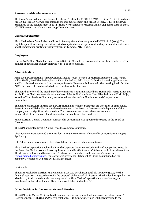#### **Research and development costs**

The Group's research and development costs in 2013 totalled MEUR 5.3 (MEUR 4.1 in 2012). Of this total, MEUR 4.2 (MEUR 3.1) was recognised in the income statement and MEUR 1.1 (MEUR 1.0 in 2012) was capitalised to the balance sheet in 2013. There were capitalised research and developments costs to a total of MEUR 2.0 on the balance sheet on 31 December 2013.

## **Capital expenditure**

Alma Media Group's capital expenditure in January–December 2013 totalled MEUR 62.8 (111.3). The capital expenditure during the review period comprised normal operational and replacement investments and the newspaper printing press investment in Tampere, MEUR 49.5.

## **Employees**

During 2013, Alma Media had on average 1,965 (1,910) employees, calculated as full-time employees. The number of newspaper delivery staff was 998 (1,006) on average.

## **Administration**

Alma Media Corporation's Annual General Meeting (AGM) held on 14 March 2013 elected Timo Aukia, Niklas Herlin, Petri Niemisvirta, Perttu Rinta, Kai Seikku, Erkki Solja, Catharina Stackelberg-Hammarén and Harri Suutari members of the company's Board of Directors. In its constitutive meeting held after the AGM, the Board of Directors elected Harri Suutari as its Chairman.

The Board also elected the members of its committees. Catharina Stackelberg-Hammarén, Perttu Rinta and Kai Seikku as Chairman were elected members of the Audit Committee. Petri Niemisvirta and Erkki Solja, as well as Timo Aukia as Chairman, were elected members of the Nomination and Compensation Committee.

The Board of Directors of Alma Media Corporation has evaluated that with the exception of Timo Aukia, Perttu Rinta and Niklas Herlin, the elected members of the Board of Directors are independent of the company and its significant shareholders. The three members named above are evaluated to be independent of the company but dependent on its significant shareholders.

Mikko Korttila, General Counsel of Alma Media Corporation, was appointed secretary to the Board of Directors.

The AGM appointed Ernst & Young Oy as the company's auditors.

Virpi Juvonen was appointed Vice President, Human Resources of Alma Media Corporation starting 26 April 2013.

Olli-Pekka Behm was appointed Executive Editor-in-Chief of Satakunnan Kansa.

Alma Media Corporation applies the Finnish Corporate Governance Code for listed companies, issued by the Securities Market Association on 15 June 2010 and in effect since 1 October 2010, in its unaltered form. The details of salaries and bonuses for 2013 have been published on the company's website at [www.almamedia.fi/investors.](http://www.almamedia.fi/investors) The Corporate Governance Statement 2013 will be published on the company's website on 27 February 2014 at the latest.

## **Dividends**

The AGM resolved to distribute a dividend of EUR 0.10 per share, a total of MEUR 7.6 (30.2) for the financial year 2012 in accordance with the proposal of the Board of Directors. The dividend was paid on 26 March 2013 to shareholders who were registered in Alma Media Corporation's shareholder register maintained by Euroclear Finland Oy on the record date, 19 March 12013.

## **Other decisions by the Annual General Meeting**

The AGM on 14 March 2013 resolved to reduce the share premium fund shown on the balance sheet 31 December 2012, EUR 419,295,759, by a total of EUR 100,000,000, which will be transferred to the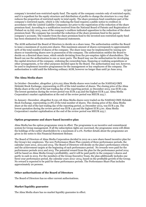company's invested non-restricted equity fund. The equity of the company consists only of restricted equity, and it is expedient for the equity structure and distribution of profits to change the structure in a way that reduces the proportion of restricted equity in total equity. The share premium fund constitutes part of the company's restricted equity, which is why reducing the fund requires a public notice to creditors in accordance with the Limited Liability Companies Act prior to the registration of the reduction of the share premium fund. According to a notification received from the National Board of Patents and Registration of Finland on 19 July 2013, none of the company's creditors indicated opposition to the reduction of the share premium fund. The company has recorded the reduction of the share premium fund in the parent company's accounts. The transfer from the share premium fund to the invested non-restricted equity fund has been eliminated in the consolidated financial statements.

The AGM authorised the Board of Directors to decide on a share issue. The authorisation entitles the Board to issue a maximum of 15,000,000 shares. This maximum amount of shares corresponds to approximately 20% of the total number of shares of the company. The share issue may be implemented by issuing new shares or transferring shares now in possession of the company. The authorisation entitles the Board to decide on a directed share issue, which entails deviating from the pre-emption rights of shareholders. The Board can use the authorisation in one or more parts. The Board may use the authorisation for developing the capital structure of the company, widening the ownership base, financing or realising acquisitions or other arrangements, or for other purposes decided upon by the Board. The authorisation may not, however, be used to implement incentive programmes for the management or key employees of the company. The authorisation is valid until the following ordinary AGM, however no longer than until 30 June 2014.

## **The Alma Media share**

In October–December, altogether 3,670,025 Alma Media shares were traded on the NASDAQ OMX Helsinki Stock Exchange, representing 10.8% of the total number of shares. The closing price of the Alma Media share at the end of the last trading day of the reporting period, 31 December 2013, was EUR 2.99. The lowest quotation during the review period was EUR 2.93 and the highest EUR 3.42. Alma Media Corporation's market capitalisation at the end of the review period was MEUR 225.7.

In January–December, altogether 8,130,118 Alma Media shares were traded on the NASDAQ OMX Helsinki Stock Exchange, representing 10.8% of the total number of shares. The closing price of the Alma Media share at the end of the last trading day of the reporting period, 31 December 2013, was EUR 2.99. The lowest quotation during the review period was EUR 2.49 and the highest EUR 5.00. Alma Media Corporation's market capitalisation at the end of the review period was MEUR 225.7.

#### **Option programme and share-based incentive plan**

Alma Media has the option programme 2009 in effect. The programme is an incentive and commitment system for Group management. If all the subscription rights are exercised, the programme 2009 will dilute the holdings of the earlier shareholders by a maximum of 2.0%. Further details about the programme are given in the notes to this Financial Statement Release.

The Board of Directors of Alma Media Corporation decided in 2012 on a new share-based incentive plan for the Group's key employees. The new Performance Share Plan consists of three performance periods, the calendar years 2012, 2013 and 2014. The Board of Directors will decide on the plan's performance criteria and the achievement targets at the beginning of each performance period. No rewards were paid for the performance periods 2012 and 2013. The potential reward from the plan for the performance period 2014 will be based on Alma Media Group's profitability, and it will be paid partly in the company's shares and partly in cash in 2015. For the members of the Group Executive Team, the plan additionally includes one three-year performance period, the calendar years 2012–2014, based on the profitable growth of the Group. No reward is expected to be paid for these performance periods. The Performance Share Plan includes approximately 20 persons.

#### **Other authorisations of the Board of Directors**

The Board of Directors has no other current authorisations.

#### **Market liquidity guarantee**

The Alma Media share has no market liquidity guarantee in effect.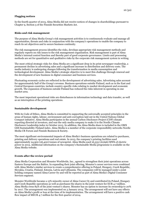## **Flagging notices**

In the fourth quarter of 2013, Alma Media did not receive notices of changes in shareholdings pursuant to Chapter 9, Section 5 of the Finnish Securities Markets Act.

#### **Risks and risk management**

The purpose of Alma Media Group's risk management activities is to continuously evaluate and manage all opportunities, threats and risks in conjunction with the company's operations to enable the company to reach its set objectives and to secure business continuity.

The risk management process identifies the risks, develops appropriate risk management methods and regularly reports on risk issues to the risk management organisation. Risk management is part of Alma Media's internal control function and thereby part of good corporate governance. Limits and processing methods are set for quantitative and qualitative risks by the corporate risk management system in writing.

The most critical strategic risks for Alma Media are a significant drop in its print newspaper readership, a permanent decline in advertising sales and a significant increase in distribution and delivery costs. The media industry is undergoing changes following the transformation in media consumption and technological development. Alma Media's strategic objective is to meet this challenge through renewal and the development of new business in digital consumer and business services.

Fluctuating economic cycles are reflected in the development of advertising sales. Advertising sales account for approximately half of the Group's revenue. Business operations outside Finland, such as in the East and Central European countries, include country-specific risks relating to market development and economic growth. The expansion of business outside Finland has reduced the risks inherent in operating in one market area.

The most important operational risks are disturbances in information technology and data transfer, as well as an interruption of the printing operations.

#### **Sustainable development**

With its Code of Ethics, Alma Media is committed to supporting the universally accepted principles in the areas of human rights, labour, environment and anti-corruption laid out in the United Nations Global Compact initiative. Alma Media participates in the annual Carbon Disclosure Project (CDP) climate reporting directed at investors, and was the only media company to make it to the Nordic Climate Disclosure Leadership index in October 2013. In addition, the Alma Media share is included in the OMX GES Sustainability Finland index. Alma Media is a member of the corporate responsibility networks Nordic Media CR Forum and Finnish Business & Society.

The most significant environmental impacts of Alma Media's business operations are related to purchases, printing and delivery operations and real estate. In 2013, the company's printing facilities used approximately 24,900 (26,400) tonnes of newsprint. Alma Media used 16,333 (16,696) MWh of electric power in 2013. Additional information on the company's Sustainable Media programme is available on the Alma Media website.

#### **Events after the review period**

Alma Media Corporation and Monster Worldwide, Inc., agreed to strengthen their joint operations across Eastern Europe and the Baltics. In expanding their joint offering, Monster's career services were combined with Alma Media's similar services to create a comprehensive offering in Poland, Hungary, Czech Republic, Slovakia, Croatia, Finland, Estonia, Latvia and Lithuania. The companies will be managed under a joint holding company named Alma Career Oy and will be reported as part of Alma Media's Digital Consumer Services segment.

Monster Worldwide became a 15% minority owner of Alma Career Oy and contributed its Poland, Hungary and Czech Republic operations as well as purchases the shares in the joint venture for EUR 4.7 million. Alma Media owns 85% of the joint venture's shares. Monster has an option to increase its ownership to 20% by 2017. The arrangement was implemented on 3 January 2014. The arrangement will not have any effects on Alma Media's profit or loss at the time of its implementation. The arrangement will have a positive cash flow impact of MEUR 4.7 million for the first quarter of 2014.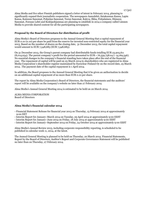Alma Media and five other Finnish publishers signed a letter of intent in February 2014, planning to significantly expand their journalistic cooperation. The newspapers Aamulehti, Satakunnan Kansa, Lapin Kansa, Kainuun Sanomat, Pohjolan Sanomat, Turun Sanomat, Kaleva, Ilkka, Pohjalainen, Hämeen Sanomat, Forssan Lehti and Keskipohjanmaa are planning to establish in 2014 a company called Lännen Media to provide shared content for all the participating newspapers.

## **Proposal by the Board of Directors for distribution of profit**

Alma Media's Board of Directors proposes to the Annual General Meeting that a capital repayment of EUR 0.10 (0.10) per share be paid from the reserve for invested non-restricted equity for the financial year 2013. Based on the number of shares on the closing date, 31 December 2013, the total capital repayment would amount to EUR 7,548,685 (EUR 7,548,685).

On 31 December 2013, the Group's parent company had distributable funds totalling EUR 23,905,611 (8,014,054). The parent company's profit for the period amounted to EUR **–** 76,559,758.04 (- 14,169,546). No essential changes in the company's financial standing have taken place after the end of the financial year. The repayment of capital will be paid on 25 March 2014 to shareholders who are registered in Alma Media Corporation's shareholder register maintained by Euroclear Finland Oy on the record date, 25 March 2014 . The payment date of the capital repayment is 1 April 2014.

In addition, the Board proposes to the Annual General Meeting that it be given an authorisation to decide on an additional capital repayment of no more than EUR 0.10 per share.

The report by Alma Media Corporation's Board of Directors, the financial statements and the auditors' report will be available on the company's website no later than 27 February 2014.

Alma Media's Annual General Meeting 2014 is estimated to be held on 20 March 2014.

ALMA MEDIA CORPORATION Board of Directors

## **Alma Media's financial calendar 2014**

- Financial Statement Release for financial year 2013 on Thursday, 13 February 2014 at approximately 9:00 EET
- Interim Report for January–March 2014 on Tuesday, 29 April 2014 at approximately 9:00 EEST
- Interim Report for January–June 2014 on Friday, 18 July 2014 at approximately 9:00 EEST
- Interim Report for January–September 2014 on Friday, 24 October 2014 at approximately 9:00 EEST

Alma Media's Annual Review 2013, including corporate responsibility reporting, is scheduled to be published in calendar week 11, 2014, at the latest.

The Annual General Meeting is planned to be held on Thursday, 20 March 2014. Financial Statements, Report by the Board of Directors, Auditor's Report and Corporate Governance Statement will be published no later than on Thursday, 27 February 2014.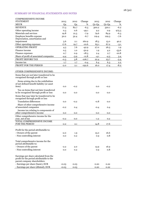## SUMMARY OF FINANCIAL STATEMENTS AND NOTES

| <b>COMPREHENSIVE INCOME</b>                                                     |         |                |          |         |         |               |
|---------------------------------------------------------------------------------|---------|----------------|----------|---------|---------|---------------|
| <b>STATEMENT</b>                                                                | 2013    | 2012           | Change   | 2013    | 2012    | Change        |
| <b>MEUR</b>                                                                     | Q4      | Q <sub>4</sub> | %        | $Q1-Q4$ | $Q1-Q4$ | %             |
| <b>REVENUE</b>                                                                  | 77.3    | 82.7           | $-6.5$   | 300.2   | 320.1   | $-6.2$        |
| Other operating income                                                          | 0.3     | 0.6            | $-49.1$  | 9.2     | 0.9     | 975.5         |
| Materials and services                                                          | 19.8    | 21.5           | $-7.9$   | 79.6    | 84.9    | $-6.3$        |
| Employee benefits expense                                                       | 30.2    | 32.4           | $-6.7$   | 119.4   | 129.3   | $-7.6$        |
| Depreciation, amortisation and                                                  |         |                |          |         |         |               |
| impairment                                                                      | 5.6     | 2.1            | 160.9    | 18.3    | 13.0    | 40.2          |
| Other operating expenses                                                        | 17.6    | 19.7           | $-10.6$  | 65.1    | 67.2    | $-3.1$        |
| <b>OPERATING PROFIT</b>                                                         | 4.3     | 7.6            | $-42.9$  | 27.0    | 26.5    | 1.9           |
| Finance income                                                                  | 0.5     | 1.0            | $-50.9$  | 1.9     | 4.2     | $-53.6$       |
| Finance expenses                                                                | 0.7     | 0.9            | $-18.5$  | 2.4     | 2.7     | $-10.8$       |
| Share of profit of associated companies                                         | $-4.4$  | $-3.9$         | $-11.8$  | $-4.1$  | $-4.3$  | 3.4           |
| PROFIT BEFORE TAX                                                               | $-0.3$  | 3.8            | $-106.7$ | 22.4    | 23.7    | $-5.4$        |
| Income tax                                                                      | 1.7     | 1.7            | $-0.4$   | 6.4     | 6.3     | $2.2^{\circ}$ |
| PROFIT FOR THE PERIOD                                                           | $-2.0$  | 2.1            | $-192.6$ | 16.0    |         | $-8.2$        |
|                                                                                 |         |                |          |         | 17.4    |               |
| OTHER COMPREHENSIVE INCOME:                                                     |         |                |          |         |         |               |
|                                                                                 |         |                |          |         |         |               |
| Items that are not later transferred to be<br>recognised through profit or loss |         |                |          |         |         |               |
| Items arising due to the redefinition                                           |         |                |          |         |         |               |
| of net defined benefit liability (or asset                                      |         |                |          |         |         |               |
| item)                                                                           | 0.0     | $-0.2$         |          | 0.0     | $-0.2$  |               |
| Tax on items that not later transferred                                         |         |                |          |         |         |               |
| to be recognised through profit or loss                                         | 0.0     | 0.0            |          | 0.0     | 0.0     |               |
|                                                                                 |         |                |          |         |         |               |
| Items that may later be transferred to be<br>recognised through profit or loss  |         |                |          |         |         |               |
| <b>Translation differences</b>                                                  |         |                |          |         |         |               |
|                                                                                 | 0.0     | $-0.2$         |          | $-0.8$  | 0.0     |               |
| Share of other comprehensive income<br>of associated companies                  |         |                |          |         |         |               |
|                                                                                 | $-0.2$  | 0.4            |          | $-0.4$  | 0.4     |               |
| Income tax relating to components of<br>other comprehensive income              | 0.0     | 0.0            |          | 0.0     | 0.0     |               |
|                                                                                 |         |                |          |         |         |               |
| Other comprehensive income for the<br>year, net of tax                          | -0.2    | 0.0            |          | $-1.2$  | 0.2     |               |
| TOTAL COMPREHENSIVE INCOME                                                      |         |                |          |         |         |               |
| <b>FOR THE PERIOD</b>                                                           | $-2.2$  | 2.1            |          | 14.8    | 17.6    |               |
|                                                                                 |         |                |          |         |         |               |
| Profit for the period attributable to:                                          |         |                |          |         |         |               |
| - Owners of the parent                                                          | $-2.0$  | 1.9            |          | 15.0    | 16.6    |               |
| - Non-controlling interest                                                      | 0.0     | 0.2            |          | 0.9     | 0.8     |               |
|                                                                                 |         |                |          |         |         |               |
| Total comprehensive income for the                                              |         |                |          |         |         |               |
| period attributable to:                                                         |         |                |          |         |         |               |
| - Owners of the parent                                                          | $-2.2$  | 2.0            |          | 13.9    | 16.9    |               |
| - Non-controlling interest                                                      | 0.0     | 0.2            |          | 0.9     | 0.8     |               |
|                                                                                 |         |                |          |         |         |               |
| Earnings per share calculated from the                                          |         |                |          |         |         |               |
| profit for the period attributable to the                                       |         |                |          |         |         |               |
| parent company shareholders:                                                    |         |                |          |         |         |               |
| - Earnings per share (basic), EUR                                               | $-0.03$ | 0.03           |          | 0.20    | 0.22    |               |
| - Earnings per share (diluted), EUR                                             | $-0.03$ | 0.03           |          | 0.20    | 0.22    |               |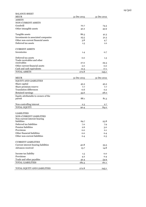| <b>BALANCE SHEET</b>                        |             |             |
|---------------------------------------------|-------------|-------------|
| <b>MEUR</b>                                 | 31 Dec 2013 | 31 Dec 2012 |
| <b>ASSETS</b>                               |             |             |
| NON-CURRENT ASSETS                          |             |             |
| Goodwill                                    | 70.7        | 74.3        |
| Other intangible assets                     | 42.2        | 43.9        |
|                                             |             |             |
| Tangible assets                             | 86.3        | 41.3        |
| Investments in associated companies         | 25.5        | 31.3        |
| Other non-current financial assets          | 3.8         | 4.7         |
| Deferred tax assets                         | 1.5         | 1.0         |
|                                             |             |             |
| <b>CURRENT ASSETS</b>                       |             |             |
| Inventories                                 | 1.4         | 0.7         |
|                                             |             |             |
| Deferred tax assets                         | 0.0         | 1.3         |
| Trade receivables and other                 |             |             |
| receivables                                 | 27.0        | 29.3        |
| Other current financial assets              | 2.0         | 0.0         |
| Cash and cash equivalents                   | 12.3        | 17.1        |
| <b>TOTAL ASSETS</b>                         | 272.8       | 245.1       |
|                                             |             |             |
| <b>MEUR</b>                                 | 31 Dec 2013 | 31 Dec 2012 |
| EQUITY AND LIABILITIES                      |             |             |
| Share capital                               | 45.3        | 45.3        |
| Share premium reserve                       | 7.7         | 7.7         |
| <b>Translation differences</b>              | $-0.6$      | 0.2         |
| Retained earnings                           |             | 28.0        |
|                                             | 35.6        |             |
| Equity attributable to owners of the        | 88.1        | 81.3        |
| parent                                      |             |             |
| Non-controlling interest                    | 2.3         | 2.7         |
| <b>TOTAL EQUITY</b>                         |             |             |
|                                             | 90.4        | 84.0        |
|                                             |             |             |
| <b>LIABILITIES</b>                          |             |             |
| <b>NON-CURRENT LIABILITIES</b>              |             |             |
| Non-current interest-bearing<br>liabilities | 69.7        | 25.8        |
| Deferred tax liabilities                    | 7.0         | 7.9         |
| <b>Pension liabilities</b>                  | 2.6         |             |
| Provisions                                  |             | 3.0         |
| Other financial liabilities                 | 0.0         | 0.1         |
| Other non-current liabilities               | 0.0         | 0.4         |
|                                             | 0.4         | 0.3         |
| <b>CURRENT LIABILITIES</b>                  |             |             |
|                                             |             |             |
| Current interest-bearing liabilities        | 40.8        | 53.5        |
| Advances received                           | 13.7        | 14.8        |
|                                             |             |             |
| Income tax liability                        | 1.5         | 0.0         |
| Provisions                                  | 4.2         | 0.4         |
| Trade and other payables                    | 42.4        | 54.9        |
| <b>TOTAL LIABILITIES</b>                    | 182.3       | 161.1       |
|                                             |             |             |
| TOTAL EQUITY AND LIABILITIES                | 272.8       | 245.1       |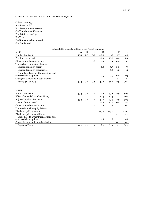## CONSOLIDATED STATEMENT OF CHANGE IN EQUITY

Column headings:

- A = Share capital
- B = Share premium reserve
- C = Translation differences
- D = Retained earnings
- $E = Total$
- F = Non-controlling interest
- $G =$  Equity total

| Attributable to equity holders of the Parent Company |      |     |             |         |         |         |         |
|------------------------------------------------------|------|-----|-------------|---------|---------|---------|---------|
| <b>MEUR</b>                                          | A    | B   | $\mathbf C$ | D       | E       | $\rm F$ | G       |
| Equity 1 Jan 2013                                    | 45.3 | 7.7 | 0.2         | 28.0    | 81.3    | 2.7     | 84.0    |
| Profit for the period                                |      |     |             | 15.0    | 15.0    | 0.9     | 16.0    |
| Other comprehensive income                           |      |     | $-0.8$      | $-0.3$  | $-1.1$  | 0.0     | $-1.1$  |
| Transactions with equity holders                     |      |     |             |         |         |         |         |
| Dividends paid by parent                             |      |     |             | $-7.5$  | $-7.5$  | 0.0     | $-7.5$  |
| Dividends paid by subsidiaries                       |      |     |             |         | 0.0     | $-1.2$  | $-1.2$  |
| Share-based payment transactions and                 |      |     |             |         |         |         |         |
| exercised share options                              |      |     |             | 0.5     | 0.5     | 0.0     | 0.5     |
| Change in ownership in subsidiaries                  |      |     |             |         |         | $-0.1$  | $-0.1$  |
| Equity 31 Dec 2013                                   | 45.3 | 7.7 | $-0.6$      | 35.6    | 88.1    | 2.3     | 90.4    |
|                                                      |      |     |             |         |         |         |         |
|                                                      |      |     |             |         |         |         |         |
| <b>MEUR</b>                                          |      |     |             |         |         |         |         |
| Equity 1 Jan 2012                                    | 45.3 | 7.7 | 0.2         | 40.6    | 93.8    | 2.9     | 96.7    |
| Effect of amended standard IAS 19                    |      |     |             | $-0.4$  | $-0.4$  |         | $-0.4$  |
| Adjusted equity 1 Jan 2012                           | 45.3 | 7.7 | 0.2         | 40.1    | 93.4    | 2.9     | 96.3    |
| Profit for the period                                |      |     |             | 16.6    | 16.6    | 0.8     | 17.4    |
| Other comprehensive income                           |      |     | 0.0         | 0.2     | 0.2     |         | 0.2     |
| Transactions with equity holders                     |      |     |             |         |         |         |         |
| Dividends paid by parent                             |      |     |             | $-29.7$ | $-29.7$ |         | $-29.7$ |
| Dividends paid by subsidiaries                       |      |     |             |         |         | $-1.3$  | $-1.3$  |
| Share-based payment transactions and                 |      |     |             |         |         |         |         |
| exercised share options                              |      |     |             | 0.8     | 0.8     |         | 0.8     |
| Change in ownership in subsidiaries                  |      |     |             |         |         | 0.3     | 0.3     |
| Equity 31 Dec 2012                                   | 45.3 | 7.7 | 0.2         | 28.0    | 81.3    | 2.7     | 84.0    |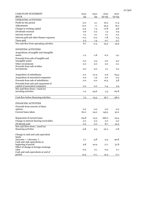| <b>CASH FLOW STATEMENT</b>                                         | 2013           | 2012    | 2013    | 2012    |
|--------------------------------------------------------------------|----------------|---------|---------|---------|
| <b>MEUR</b>                                                        | Q <sub>4</sub> | Q4      | $Q1-Q4$ | $Q1-Q4$ |
| <b>OPERATING ACTIVITIES</b>                                        |                |         |         |         |
| Profit for the period                                              | $-2.0$         | 2.1     | 16.0    | 17.4    |
| Adjustments                                                        | 12.2           | 1.1     | 25.4    | 19.2    |
| Change in working capital                                          | $-4.2$         | 7.4     | -11.8   | -4.8    |
| Dividends received                                                 | 0.6            | 0.2     | $1.3\,$ | 0.9     |
| Interest received                                                  | 0.1            | 0.1     | 0.1     | 0.2     |
| Interest paid and other finance expenses                           | $-0.2$         | $-0.2$  | $-1.8$  | $-2.4$  |
| Taxes paid                                                         | 2.3            | 1.4     | $-4.7$  | $-5.7$  |
| Net cash flow from operating activities                            | 8.7            | 11.3    | 24.4    | 24.9    |
|                                                                    |                |         |         |         |
| <b>INVESTING ACTIVITIES</b>                                        |                |         |         |         |
| Acquisitions of tangible and intangible                            |                |         |         |         |
| assets                                                             | $-1.2$         | -1.8    | $-6.2$  | $-4.1$  |
| Proceeds from sale of tangible and                                 |                |         |         |         |
| intangible assets                                                  | 0.0            | 0.5     | 0.0     | 3.0     |
| Other investments                                                  | 0.0            | 0.0     | 0.0     | $-0.1$  |
| Proceeds from sale of other                                        |                |         |         |         |
| investments                                                        | 0.0            | 0.0     | 0.1     | 0.2     |
|                                                                    |                |         |         |         |
| Acquisition of subsidiaries                                        | 0.0            | $-21.4$ | $-2.6$  | $-64.3$ |
| Acquisition of associated companies                                | 0.0            | $-1.9$  | 0.0     | $-2.3$  |
| Proceeds from sale of subsidiaries                                 | 0.0            | 0.0     | 10.5    | 3.8     |
| Proceeds from sale and repayment of                                |                |         |         |         |
| capital of associated companies<br>Net cash flows from / (used in) | 0.0            | 0.0     | 0.4     | 0.9     |
| investing activities                                               | $-1.2$         | $-24.6$ | 2.3     | $-62.8$ |
|                                                                    |                |         |         |         |
| Cash flow before financing activities                              | 7.5            | $-13.3$ | 26.7    | $-38.0$ |
|                                                                    |                |         |         |         |
| <b>FINANCING ACTIVITIES</b>                                        |                |         |         |         |
| Proceeds from exercise of share                                    |                |         |         |         |
| options                                                            | 0.0            | 0.0     | 0.0     | 0.0     |
| Current loans taken                                                | 60.0           | 24.0    | 143.5   | 52.0    |
|                                                                    |                |         |         |         |
| Repayment of current loans                                         | $-64.8$        | $-14.5$ | -166.0  | $-23.4$ |
| Change in interest-bearing receivables                             | 0.0            | 0.0     | 0.0     | 0.0     |
| Dividends paid                                                     | 0.0            | 0.0     | $-8.7$  | $-31.5$ |
| Net cash flows from / (used in)<br>financing activities            | $-4.8$         | 9.5     | $-31.2$ | $-2.8$  |
|                                                                    |                |         |         |         |
| Change in cash and cash equivalent                                 |                |         |         |         |
| funds                                                              |                |         |         |         |
| $(increase + / decrease -)$                                        | 2.7            | $-3.8$  | $-4.5$  | $-40.8$ |
| Cash and cash equivalents at                                       |                |         |         |         |
| beginning of period<br>Effect of change in foreign exchange        | 9.8            | 20.9    | 17.1    | 57.8    |
| rates                                                              | $-0.2$         | 0.1     | $-0.3$  | 0.1     |
| Cash and cash equivalents at end of                                |                |         |         |         |
| period                                                             | 12.3           | 17.1    | 12.3    | 17.1    |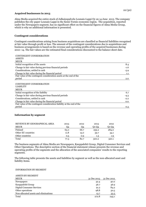#### **Acquired businesses in 2013**

Alma Media acquired the entire stock of Julkaisupalvelu Lounais-Lappi Oy on 14 June 2013. The company publishes the city paper Lounais-Lappi in the Kemi-Tornio economic region. The acquisition, reported under the Newspapers segment, has no significant effect on the financial figures of Alma Media Group, which is why no additional information is presented.

## **Contingent considerations**

Contingent considerations arising from business acquisitions are classified as financial liabilities recognised at fair value through profit or loss. The amount of the contingent considerations due to acquisitions and business arrangements is based on the revenue and operating profits of the acquired businesses during 2010–14. The fair values are the estimated final considerations discounted to the balance sheet date.

| CONTINGENT CONSIDERATION                                               |        |
|------------------------------------------------------------------------|--------|
| <b>ASSETS</b>                                                          |        |
| <b>MEUR</b>                                                            |        |
| Initial recognition of the assets                                      | 8.4    |
| Change in fair value during previous financial periods                 | $-1.6$ |
| Considerations, settled in cash                                        | $-5.9$ |
| Change in fair value during the financial period                       | 1.1    |
| Fair value of the contingent consideration assets at the end of the    |        |
| period                                                                 | 2.0    |
| CONTINGENT CONSIDERATION<br><b>LIABILITY</b><br><b>MEUR</b>            |        |
| Initial recognition of the liability                                   | 6.7    |
| Change in fair value during previous financial periods                 | $-4.3$ |
| Considerations, settled in cash                                        | $-2.2$ |
| Change in fair value during the financial period                       | 0.0    |
| Fair value of the contingent consideration liability at the end of the |        |
| period                                                                 | 0.3    |

## **Information by segment**

| REVENUE BY GEOGRAPHICAL AREA | 2013 | 2012 | 2013  | 2012  |
|------------------------------|------|------|-------|-------|
| <b>MEUR</b>                  | Q4   | O4   | 01-04 | Q1-Q4 |
| Finland                      | 65.0 | 66.7 | 259.2 | 284.0 |
| Other EU countries           | 11.8 | 15.0 | 39.7  | 34.1  |
| Other countries              | 0.5  | 0.9  | 1.3   | 1.9   |
| Total                        | 77.3 | 82.7 | 300.2 | 320.1 |

The business segments of Alma Media are Newspapers, Kauppalehti Group, Digital Consumer Services and Other Operations. The descriptive section of the financial statement release presents the revenue and operating profits of the segments and the allocation of the associated companies' results to the reporting segments.

The following table presents the assets and liabilities by segment as well as the non-allocated asset and liability items.

#### INFORMATION BY SEGMENT

ASSETS BY SEGMENT

| ASSEIS DI SEUMENI                     |             |             |
|---------------------------------------|-------------|-------------|
| <b>MEUR</b>                           | 31 Dec 2013 | 31 Dec 2012 |
| Newspapers                            | 32.4        | 40.0        |
| Kauppalehti Group                     | 36.7        | 36.9        |
| Digital Consumer Services             | 91.2        | 84.2        |
| Other operations                      | 98.8        | 50.5        |
| Non-allocated assets and eliminations | 13.7        | 33.5        |
| Total                                 | 272.8       | 245.1       |
|                                       |             |             |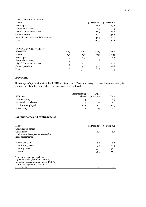| <b>LIABILITIES BY SEGMENT</b>         |             |             |
|---------------------------------------|-------------|-------------|
| <b>MEUR</b>                           | 31 Dec 2013 | 31 Dec 2012 |
| Newspapers                            | 24.8        | 29.6        |
| Kauppalehti Group                     | 9.7         | 11.9        |
| <b>Digital Consumer Services</b>      | 14.9        | 14.6        |
| Other operations                      | 84.5        | 38.8        |
| Non-allocated assets and eliminations | 48.4        | 66.2        |
| Total                                 | 182.3       | 161.1       |
|                                       |             |             |
|                                       |             |             |

| <b>CAPITAL EXPENDITURE BY</b><br><b>SEGMENT</b><br><b>MEUR</b> | 2013<br>Q4 | 2012<br>Q4 | 2013<br>$Q1-Q4$ | 2012<br>$Q1-Q4$ |
|----------------------------------------------------------------|------------|------------|-----------------|-----------------|
| Newspapers                                                     | 0.3        | 0.7        | 2.6             | 1.8             |
| Kauppalehti Group                                              | 0.3        | 0.2        | 0.8             | 0.6             |
| <b>Digital Consumer Services</b>                               | 1.3        | 26.6       | 2.0             | 76.2            |
| Other operations                                               | 0.8        | 5.6        | 57.4            | 32.8            |
| Total                                                          | 2.8        | 33.1       | 62.8            | 111.5           |

## **Provisions**

The company's provisions totalled MEUR 4.2 (0.5) on 31 December 2013. It has not been necessary to change the estimates made when the provisions were entered.

| EUR 1,000              | Restructuring<br>provision | Other<br>provisions | Total         |
|------------------------|----------------------------|---------------------|---------------|
| 1 January 2013         | 0.4                        | 0.1                 | 0.5           |
| Increase in provisions | 0.5                        | 3.5                 | 4.0           |
| Provisions employed    | $-0.2$                     | $-0.1$              | $-0.3$        |
| 31 Dec 2013            | 0.7                        | 3.5                 | $4.2^{\circ}$ |

## **Commitments and contingencies**

| <b>MEUR</b>                                                                                                                                      | 31 Dec 2013 | 31 Dec 2012 |
|--------------------------------------------------------------------------------------------------------------------------------------------------|-------------|-------------|
| Collateral for others                                                                                                                            |             |             |
| Guarantees<br>Minimum lease payments on other                                                                                                    | 1.3         | 1.3         |
| lease agreements:                                                                                                                                |             |             |
|                                                                                                                                                  |             |             |
| Within one year                                                                                                                                  | 8.8         | 8.6         |
| Within 1-5 years                                                                                                                                 | 27.4        | 25.4        |
| After 5 years                                                                                                                                    | 37.6        | 34.7        |
| Total                                                                                                                                            | 73.7        | 68.7        |
| The Group also has purchase<br>agreements that, based on IFRIC 4,<br>include a lease component as per IAS 17.<br>Minimum payments based on these |             |             |
| agreements:                                                                                                                                      | 0.8         | 1.6         |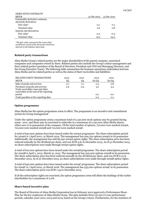| <b>DERIVATIVE CONTRACTS</b>     |             |             |
|---------------------------------|-------------|-------------|
| <b>MEUR</b>                     | 31 Dec 2013 | 31 Dec 2012 |
| Commodity derivative contracts, |             |             |
| electricity derivatives         |             |             |
| Fair value*                     | $-0.1$      | $-0.1$      |
| Nominal value                   | 0.6         | 0.8         |
| Interest rate derivatives       |             |             |
| Fair value*                     | $-0.2$      | $-0.4$      |
| Nominal value                   | 15.9        | 24.0        |

*\*The fair value represents the return that would have arisen if the derivative had been cleared on the balance sheet date.*

## **Related party transactions**

Alma Media Group's related parties are the major shareholders of the parent company, associated companies and companies owned by them. Related parties also include the Group's senior management and their related parties (members of the Board of Directors, President and CEO and Managing Directors, and the Group Executive Team). The following table summarises the business operations undertaken between Alma Media and its related parties as well as the status of their receivables and liabilities:

| <b>RELATED PARTY TRANSACTIONS</b>                                                                               | 2013 | 2012 | 2013  | 2012  |
|-----------------------------------------------------------------------------------------------------------------|------|------|-------|-------|
| <b>MEUR</b>                                                                                                     | Q4   | Q4   | 01-04 | Q1-Q4 |
| Sales of goods and services                                                                                     | 0.1  | 0.1  | 0.4   | 0.8   |
| Purchases of goods and services<br>Trade receivables, loan and other<br>receivables at the end of the reporting | 0.9  | 0.9  | 3.2   | 3.4   |
| period                                                                                                          |      |      | 0.0   | 0.0   |
| Trade payables at the reporting date                                                                            |      |      | 0.0   | 0.1   |

#### **Option programme**

Alma Media has the option programme 2009 in effect. The programme is an incentive and commitment system for Group management.

Under the option programme 2009 a maximum total of 2,130,000 stock options may be granted during 2009– 2011, and these may be exercised to subscribe to a maximum of 2,130,000 Alma Media shares, either new or in possession of the company. Of the total number of options, 710,000 were marked 2009A, 710,000 were marked 2009B and 710,000 were marked 2009C.

A total of 640,000 options have been issued under the 2009A programme. The share subscription period for 2009A is 1 April 2012–31 March 2014. The management has 509,750 options 2009A in its possession. Additionally, the management has sold 85,250 2009A option rights. The share subscription price has been reduced annually by the dividend per share, and was EUR 3.61 in December 2013. As of 31 December 2013, no share subscriptions were made through 2009A option rights.

A total of 610,000 options have been issued under the 2009B programme. The share subscription period for 2009B is April 1, 2013–March 31, 2015. The management has 505,000 options 2009B in its possession. The share subscription price has been reduced annually by the dividend per share, and was EUR 6.13 in December 2013. As of 31 December 2013, no share subscriptions were made through 2009B option rights.

A total of 640,000 options have been issued under the 2009C programme. The share subscription period for 2009C is 1 April 2014–31 March 2016. The management has 535,000 options 2009C in its possession. The share subscription price was EUR 7.45 in December 2013.

If all the subscription rights are exercised, the option programme 2009 will dilute the holdings of the earlier shareholders by a maximum of 2.0%.

#### **Share-based incentive plan**

The Board of Directors of Alma Media Corporation has in February 2012 approved a Performance Share Plan for the key employees of Alma Media Group. The plan includes three (3) one (1) year performance periods, calendar years 2012, 2013 and 2014, based on the Group's return. Furthermore, for the members of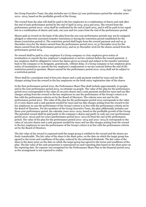the Group Executive Team, the plan includes one (1) three (3) year performance period the calendar years 2012—2014, based on the profitable growth of the Group.

The reward from the plan will shall be paid to the key employees in a combination of shares and cash after the end of each performance period by the end of April in 2013, 2014 and 2015. The reward from the performance period 2012—2014 shall be confirmed by the end of April 2015, and it will be paid in two equal lots in a combination of shares and cash, one year and two years from the end of the performance period.

Shares paid as reward on the basis of the plan from the one-year performance periods may not be assigned, pledged or otherwise exercised (transfer restriction/s) during the restriction period established for the shares (restriction period/s). The restriction period shall begin from the reward payment and end on 31 December 2014 for the shares earned from the performance period 2012, on 31 December 2015 for the shares earned from the performance period 2013, and on 31 December 2016 for the shares earned from the performance period 2014.

No reward shall be paid to a key employee if a Group company or a key employee gives notice of termination or cancels the key employee's employment or service contract before the reward payment. A key employee shall be obligated to return the shares given as reward and subject to the transfer restriction back to the company or its designate, gratuitously, without delay, if a Group company or key employee gives notice of termination or cancels the key employee's employment or service contract before the end of the restriction period in question. Shares earned for the performance period 2012–2014 shall not be subject to a restriction period.

There shall be a maximum total of 600,000 shares and a cash payment needed for taxes and tax-like charges arising from the reward to the key employees on the book-entry registration date of the shares.

In the first performance period 2012, the Performance Share Plan shall include approximately 20 people, and in the next performance period 2013, on estimate 24 people. The value of the plan for the performance period 2012 corresponded to the value of 120,000 shares and a cash payment needed for taxes and tax-like charges arising from the reward to the key employees in case the performance of the Group's return is in line with the performance criteria set by the Board of Directors. The criteria were not met for the performance period 2012. The value of the plan for the performance period 2013 corresponds to the value of 117,000 shares and a cash payment needed for taxes and tax-like charges arising from the reward to the key employees in case the performance of the Group's return is in line with the performance criteria set by the Board of Directors. For the members of the Group Executive Team, the plan additionally includes one three-year performance period, the calendar years 2012–2014, based on the profitable growth of the Group. The potential reward shall be paid partly in the company's shares and partly in cash one year (performance period 2012–2014) and two years (performance period 2012–2014 II) from the end of the performance period. The value of the plan for the performance period 2012–2014 and 2012–2014 II corresponds to the value of 120,000 shares and a cash payment needed for taxes and tax-like charges arising from the reward to the key employees in case the performance of the Group's return is in line with the performance criteria set by the Board of Directors.

The fair value of the reward is expensed until the target group is entitled to the reward and the shares are freely transferable. The fair value of the share is the share price, on the date on which the target group has agreed to the terms and conditions of the plan, reduced by the estimated dividends. The fair value of the share is the share price on the date on which the target group has agreed to the terms and conditions of the plan. The fair value of the cash proportion is remeasured on each reporting date based on the share price on the reporting date. No expense was recognised for the Performance Share Plan in the financial period 2013 as the arrangement is not expected to realise.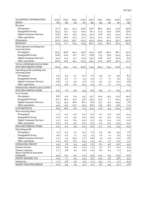| ſ |  |
|---|--|
|---|--|

| QUARTERLY INFORMATION                              | 2013           | 2013           | 2013           | 2013           | 2012           | 2012           | 2012           | 2012           | 2011           |
|----------------------------------------------------|----------------|----------------|----------------|----------------|----------------|----------------|----------------|----------------|----------------|
| <b>MEUR</b>                                        | Q <sub>4</sub> | Q <sub>3</sub> | Q <sub>2</sub> | Q <sub>1</sub> | Q <sub>4</sub> | Q <sub>3</sub> | Q <sub>2</sub> | Q <sub>1</sub> | Q <sub>4</sub> |
| Revenue                                            |                |                |                |                |                |                |                |                |                |
| Newspapers                                         | 47.7           | 45.1           | 47.3           | 45.6           | 52.6           | 48.9           | 53.2           | 51.9           | 55.8           |
| Kauppalehti Group                                  | 15.4           | 13.1           | 14.4           | 14.0           | 16.1           | 13.2           | 14.9           | 14.8           | 15.6           |
| Digital Consumer Services                          | 13.8           | 13.0           | 14.2           | 14.9           | 14.0           | 12.8           | 13.3           | 14.4           | 10.2           |
| Other operations                                   | 21.6           | 20.9           | 21.2           | 21.7           | 21.5           | 21.2           | 21.0           | 21.0           | 20.2           |
| Elimination                                        | $-21.2$        | $-20.3$        | $-20.7$        | $-21.3$        | $-21.4$        | $-20.9$        | $-21.4$        | $-21.1$        | $-20.4$        |
| <b>REVENUE</b>                                     | 77.3           | 71.7           | 76.3           | 74.9           | 82.7           | 75.2           | 81.0           | 81.1           | 81.3           |
| Total expenses excluding non-<br>recurring items   |                |                |                |                |                |                |                |                |                |
| Newspapers                                         | 43.5           | 40.8           | 44.2           | 43.6           | 45.4           | 43.6           | 46.0           | 46.1           | 47.5           |
| Kauppalehti Group                                  | 12.8           | 10.9           | 12.7           | 12.7           | 13.8           | 11.5           | 13.8           | 13.3           | 13.3           |
| <b>Digital Consumer Services</b>                   | 13.1           | 11.2           | 11.7           | 12.3           | 13.0           | 10.8           | 12.2           | 12.3           | 9.4            |
| Other operations                                   | 22.6           | 21.6           | 24.1           | 22.3           | 23.4           | 21.4           | 22.8           | 22.1           | 21.7           |
| TOTAL EXPENSES EXCLUDING                           |                |                |                |                |                |                |                |                |                |
| NON-RECURRING ITEMS                                | 70.9           | 64.1           | 71.9           | 69.6           | 74.4           | 66.4           | 73.4           | 72.8           | 71.4           |
| Operating profit excluding non-<br>recurring items |                |                |                |                |                |                |                |                |                |
| Newspapers                                         | 4.2            | 4.3            | 3.1            | 2.0            | 7.2            | 5.4            | 7.2            | 5.9            | 8.3            |
| Kauppalehti Group                                  | 2.6            | 2.2            | 1.7            | 1.3            | 2.3            | 1.7            | 1.1            | 1.5            | 2.3            |
| <b>Digital Consumer Services</b>                   | 0.8            | 1.9            | 2.6            | 2.7            | 1.0            | 2.0            | 1.2            | 2.2            | 0.8            |
| Other operations                                   | $-1.0$         | $-0.6$         | $-2.7$         | $-0.5$         | $-1.9$         | $-0.1$         | $-1.7$         | $-1.0$         | $-1.5$         |
| OPERATING PROFIT EXCLUDING                         |                |                |                |                |                |                |                |                |                |
| NON-RECURRING ITEMS                                | 6.5            | 7.8            | 4.6            | 5.5            | 8.5            | 8.9            | 7.7            | 8.5            | 10.1           |
| % of revenue                                       |                |                |                |                |                |                |                |                |                |
| Newspapers                                         | 8.8            | 9.6            | 6.5            | 4.4            | 13.7           | 10.9           | 13.5           | 11.3           | 14.9           |
| Kauppalehti Group                                  | 16.7           | 16.9           | 12.0           | 9.6            | 14.2           | 12.9           | 7.1            | 10.2           | 15.0           |
| <b>Digital Consumer Services</b>                   | 5.5            | 14.5           | 18.0           | 18.1           | 6.8            | 15.7           | 9.0            | 14.9           | 7.8            |
| Other operations                                   | $-4.5$         | $-3.0$         | $-12.7$        | $-2.4$         | $-8.6$         | $-0.6$         | $-8.2$         | $-4.8$         | $-7.5$         |
| % OF REVENUE                                       | 8.4            | 10.8           | 6.0            | 7.3            | 10.3           | 11.8           | 9.5            | 10.4           | 12.4           |
| Non-recurring items                                |                |                |                |                |                |                |                |                |                |
| Newspapers                                         | $-2.1$         | 0.0            | 0.0            | 0.0            | $-0.2$         | $-0.1$         | -2.6           | $-0.5$         | $-0.5$         |
| Kauppalehti Group                                  | 0.0            | 0.0            | 0.0            | 0.0            | $-0.9$         | $-0.1$         | 0.0            | 0.0            | 0.0            |
| <b>Digital Consumer Services</b>                   | $-0.1$         | 0.0            | 8.4            | 0.0            | $-0.1$         | $-0.5$         | $-0.3$         | $-1.6$         | 0.0            |
| Other operations                                   | 0.0            | 0.0            | $-3.5$         | 0.0            | 0.3            | 0.0            | 0.0            | $-0.3$         | 0.0            |
| NON-RECURRING ITEMS                                | $-2.2$         | 0.0            | 4.9            | 0.0            | $-0.9$         | $-0.7$         | $-2.9$         | $-2.5$         | $-0.5$         |
| Operating profit                                   |                |                |                |                |                |                |                |                |                |
| Newspapers                                         | 2.1            | 4.3            | 3.1            | 2.0            | 7.0            | 5.2            | 4.6            | 5.3            | 7.8            |
| Kauppalehti Group                                  | 2.6            | $2.2\,$        | 1.7            | 1.3            | 1.4            | 1.6            | 1.1            | 1.5            | 2.3            |
| Digital Consumer Services                          | 0.7            | 1.9            | 10.9           | 2.7            | 0.8            | 1.5            | 0.9            | 0.5            | 0.8            |
| Other operations                                   | $-1.0$         | $-0.6$         | $-6.2$         | $-0.5$         | $-1.5$         | $-0.1$         | $-1.7$         | $-1.3$         | $-1.5$         |
| OPERATING PROFIT                                   | 4.3            | 7.8            | 9.5            | 5.4            | 7.6            | 8.1            | 4.8            | 6.0            | 9.5            |
| Finance income                                     | 0.5            | 0.9            | 0.5            | 0.4            | 1.0            | 3.1            | 0.7            | 0.0            | 0.2            |
| Finance expenses                                   | 0.7            | 0.8            | 0.5            | 0.6            | 0.9            | 0.6            | 0.3            | 1.7            | 3.9            |
| Share of profit of associated                      |                |                |                |                |                |                |                |                |                |
| companies                                          | $-4.4$         | $-0.2$         | 0.2            | 0.2            | $-3.9$         | $-0.2$         | 0.3            | $-0.5$         | $-0.6$         |
| PROFIT BEFORE TAX                                  | $-0.3$         | 7.7            | 9.5            | 5.4            | 3.8            | 10.5           | 5.6            | 3.8            | 5.3            |
| Income tax                                         | $-1.7$         | $-1.8$         | $-1.6$         | $-1.4$         | $-1.7$         | $-2.4$         | $-1.1$         | $-1.1$         | $-2.4$         |
| PROFIT FOR THE PERIOD                              | $-2.0$         | 5.9            | 7.9            | 4.1            | 2.1            | 8.1            | 4.5            | 2.7            | $2.8\,$        |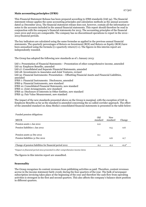## **Main accounting principles (IFRS)**

This Financial Statement Release has been prepared according to IFRS standards (IAS 34). The financial statement release applies the same accounting principles and calculation methods as the annual accounts dated 31 December 2013. The financial statement release does not, however, contain all the information or notes to the accounts included in the annual financial statements. This report should therefore be read in conjunction with the company's financial statements for 2013. The accounting principles of the financial years 2012 and 2013 are comparable. The company has no discontinued operations to report in the 2012– 2013 financial periods.

The key indicators are calculated using the same formulae as applied in the previous annual financial statements. The quarterly percentages of Return on Investment (ROI) and Return on Equity (ROE) have been annualised using the formula ((1+quarterly return)4)-1). The figures in this interim report are independently rounded.

The Group has adopted the following new standards as of 1 January 2013:

IAS 1: Presentation of Financial Statements – Presentation of other comprehensive income, amended IAS 19: Employee Benefits, amended IAS 27: Consolidated and Separate Financial Statements, amended

IAS 28: Investments in Associates and Joint Ventures, revised

IAS 32: Financial Instruments: Presentation – Offsetting Financial Assets and Financial Liabilities, amended

IFRS 7: Financial Instruments: Disclosures, amended

IFRS 9: Financial Instruments, new standard

IFRS 10: Consolidated Financial Statements, new standard

IFRS 11: Joint Arrangements, new standard

IFRS 12: Disclosure of Interests in Other Entities, new standard

IFRS 13: Fair Value Measurement, new standard

The impact of the new standards presented above on the Group is marginal, with the exception of IAS 19 Employee Benefits as far as the standard is amended concerning the so-called corridor approach. The effect of the amended standard on Alma Media's consolidated financial statements is presented in the table below:

Funded pension obligations

| <b>MEUR</b>                                             | Old<br>standard | <b>New</b><br>standard | Change  |
|---------------------------------------------------------|-----------------|------------------------|---------|
| Pension assets 1 Jan 2012                               | 0.0             |                        |         |
| Pension liabilities 1 Jan 2012                          |                 | 0.5                    | 0.6     |
|                                                         |                 |                        |         |
| Pension assets 31 Dec 2012                              | 0.1             |                        |         |
| Pension liabilities 31 Dec 2012                         |                 | 0.6                    | 0.7     |
|                                                         |                 |                        |         |
| Change of pension liabilities for financial period 2012 | 0.1             | $-0.1$                 | $-0.2*$ |

*\*Impact on financial period 2012 presented in other comprehensive income items*

The figures in this interim report are unaudited.

## **Seasonality**

The Group recognises its content revenues from publishing activities as paid. Therefore, content revenues accrue in the income statement fairly evenly during the four quarters of the year. The bulk of newspaper subscription invoicing takes place at the beginning of the year and therefore the cash flow from operating activities is strongest in the first and second quarters. This also affects the company's balance sheet position in different quarters.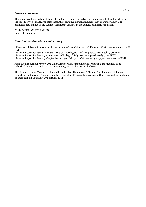#### **General statement**

This report contains certain statements that are estimates based on the management's best knowledge at the time they were made. For this reason they contain a certain amount of risk and uncertainty. The estimates may change in the event of significant changes in the general economic conditions.

ALMA MEDIA CORPORATION Board of Directors

## **Alma Media's financial calendar 2014**

- Financial Statement Release for financial year 2013 on Thursday, 13 February 2014 at approximately 9:00 **EET** 

- Interim Report for January–March 2014 on Tuesday, 29 April 2014 at approximately 9:00 EEST

- Interim Report for January–June 2014 on Friday, 18 July 2014 at approximately 9:00 EEST

- Interim Report for January–September 2014 on Friday, 24 October 2014 at approximately 9:00 EEST

Alma Media's Annual Review 2013, including corporate responsibility reporting, is scheduled to be published during the week starting on Monday, 10 March 2014, at the latest.

The Annual General Meeting is planned to be held on Thursday, 20 March 2014. Financial Statements, Report by the Board of Directors, Auditor's Report and Corporate Governance Statement will be published no later than on Thursday, 27 February 2014.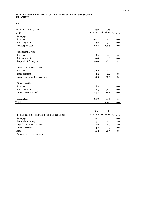#### REVENUE AND OPERATING PROFIT BY SEGMENT IN THE NEW SEGMENT STRUCTURE

2012

| <b>REVENUE BY SEGMENT</b>        | <b>New</b> | Old       |        |
|----------------------------------|------------|-----------|--------|
| <b>MEUR</b>                      | structure  | structure | Change |
| Newspapers                       |            |           |        |
| External                         | 203.4      | 203.4     | 0.0    |
| Inter-segment                    | 3.2        | 3.2       | 0.0    |
| Newspapers total                 | 206.6      | 206.6     | 0.0    |
| Kauppalehti Group                |            |           |        |
| External                         | 58.2       | 56.1      | 2.1    |
| Inter-segment                    | 0.8        | 0.8       | 0.0    |
| Kauppalehti Group total          | 59.0       | 56.9      | 2.1    |
| <b>Digital Consumer Services</b> |            |           |        |
| External                         | 52.2       | 54.3      | $-2.1$ |
| Inter-segment                    | 2.3        | 2.2       | 0.0    |
| Digital Consumer Services total  | 54.5       | 56.5      | $-2.1$ |
| Other operations                 |            |           |        |
| External                         | 6.3        | 6.3       | 0.0    |
| Inter-segment                    | 78.5       | 78.5      | 0.0    |
| Other operations total           | 84.8       | 84.8      | 0.0    |
| Elimination                      | $-84.8$    | $-84.7$   | 0.0    |
| Total                            | 320.1      | 320.1     | 0.0    |

|                                        | <b>New</b> | Old       |        |
|----------------------------------------|------------|-----------|--------|
| OPERATING PROFIT/LOSS BY SEGMENT MEUR* | structure  | structure | Change |
| <b>Newspapers</b>                      | 22.1       | 22.1      | 0.0    |
| Kauppalehti Group                      | 5.5        | 4.6       | 0.9    |
| Digital Consumer Services              | 3.8        | 4.7       | $-0.9$ |
| Other operations                       | $-4.7$     | $-4.7$    | 0.0    |
| Total                                  | 26.5       | 26.5      | 0.0    |

*\* Including non-recurring items*